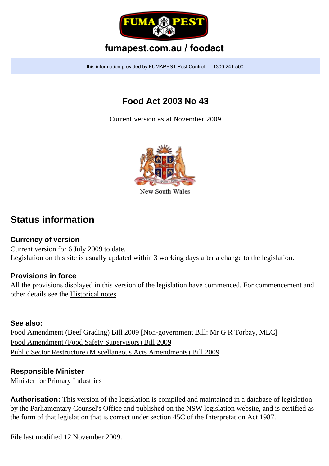

# **fumapest.com.au / foodact**

this information provided by FUMAPEST Pest Control .... 1300 241 500

# **Food Act 2003 No 43**

Current version as at November 2009



# **Status information**

#### **Currency of version**

Current version for 6 July 2009 to date. Legislation on this site is usually updated within 3 working days after a change to the legislation.

#### **Provisions in force**

All the provisions displayed in this version of the legislation have commenced. For commencement and other details see the [Historical notes](http://www.legislation.nsw.gov.au/fragview/inforce/act+43+2003+ed+0+N)

#### **See also:**

[Food Amendment \(Beef Grading\) Bill 2009](http://www.parliament.nsw.gov.au/) [Non-government Bill: Mr G R Torbay, MLC] [Food Amendment \(Food Safety Supervisors\) Bill 2009](http://www.parliament.nsw.gov.au/) [Public Sector Restructure \(Miscellaneous Acts Amendments\) Bill 2009](http://www.parliament.nsw.gov.au/)

#### **Responsible Minister**

Minister for Primary Industries

**Authorisation:** This version of the legislation is compiled and maintained in a database of legislation by the Parliamentary Counsel's Office and published on the NSW legislation website, and is certified as the form of that legislation that is correct under section 45C of the [Interpretation Act 1987.](http://www.legislation.nsw.gov.au/scanview/inforce/s/1/?TITLE=%22Interpretation%20Act%201987%20No%2015%22&nohits=y)

File last modified 12 November 2009.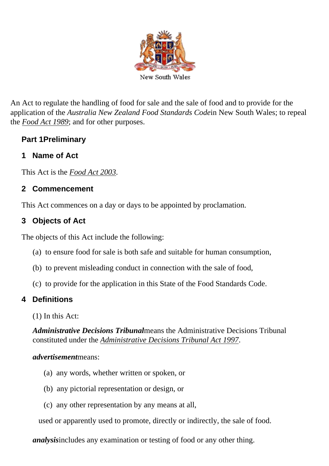

An Act to regulate the handling of food for sale and the sale of food and to provide for the application of the *Australia New Zealand Food Standards Code*in New South Wales; to repeal the *[Food Act 1989](http://www.legislation.nsw.gov.au/xref/inforce/?xref=Type%3Dact%20AND%20Year%3D1989%20AND%20no%3D231&nohits=y)*; and for other purposes.

## **Part 1Preliminary**

### **1 Name of Act**

This Act is the *[Food Act 2003](http://www.legislation.nsw.gov.au/xref/inforce/?xref=Type%3Dact%20AND%20Year%3D2003%20AND%20no%3D43&nohits=y)*.

### **2 Commencement**

This Act commences on a day or days to be appointed by proclamation.

### **3 Objects of Act**

The objects of this Act include the following:

- (a) to ensure food for sale is both safe and suitable for human consumption,
- (b) to prevent misleading conduct in connection with the sale of food,
- (c) to provide for the application in this State of the Food Standards Code.

## **4 Definitions**

(1) In this Act:

*Administrative Decisions Tribunal*means the Administrative Decisions Tribunal constituted under the *[Administrative Decisions Tribunal Act 1997](http://www.legislation.nsw.gov.au/xref/inforce/?xref=Type%3Dact%20AND%20Year%3D1997%20AND%20no%3D76&nohits=y)*.

#### *advertisement*means:

- (a) any words, whether written or spoken, or
- (b) any pictorial representation or design, or
- (c) any other representation by any means at all,

used or apparently used to promote, directly or indirectly, the sale of food.

*analysis*includes any examination or testing of food or any other thing.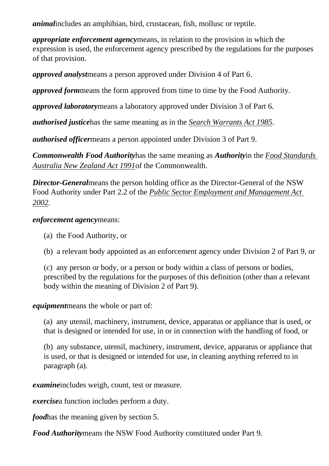*animal*includes an amphibian, bird, crustacean, fish, mollusc or reptile.

*appropriate enforcement agency*means, in relation to the provision in which the expression is used, the enforcement agency prescribed by the regulations for the purposes of that provision.

*approved analyst*means a person approved under Division 4 of Part 6.

*approved form*means the form approved from time to time by the Food Authority.

*approved laboratory*means a laboratory approved under Division 3 of Part 6.

*authorised justice*has the same meaning as in the *[Search Warrants Act 1985](http://www.legislation.nsw.gov.au/xref/inforce/?xref=Type%3Dact%20AND%20Year%3D1985%20AND%20no%3D37&nohits=y)*.

*authorised officer*means a person appointed under Division 3 of Part 9.

*Commonwealth Food Authority*has the same meaning as *Authority*in the *[Food Standards](http://www.comlaw.gov.au/)  [Australia New Zealand Act 1991](http://www.comlaw.gov.au/)*of the Commonwealth.

*Director-General*means the person holding office as the Director-General of the NSW Food Authority under Part 2.2 of the *[Public Sector Employment and Management Act](http://www.legislation.nsw.gov.au/xref/inforce/?xref=Type%3Dact%20AND%20Year%3D2002%20AND%20no%3D43&nohits=y)  [2002](http://www.legislation.nsw.gov.au/xref/inforce/?xref=Type%3Dact%20AND%20Year%3D2002%20AND%20no%3D43&nohits=y)*.

#### *enforcement agency*means:

- (a) the Food Authority, or
- (b) a relevant body appointed as an enforcement agency under Division 2 of Part 9, or

(c) any person or body, or a person or body within a class of persons or bodies, prescribed by the regulations for the purposes of this definition (other than a relevant body within the meaning of Division 2 of Part 9).

*equipment*means the whole or part of:

(a) any utensil, machinery, instrument, device, apparatus or appliance that is used, or that is designed or intended for use, in or in connection with the handling of food, or

(b) any substance, utensil, machinery, instrument, device, apparatus or appliance that is used, or that is designed or intended for use, in cleaning anything referred to in paragraph (a).

*examine*includes weigh, count, test or measure.

*exercise*a function includes perform a duty.

*food*has the meaning given by section 5.

*Food Authority*means the NSW Food Authority constituted under Part 9.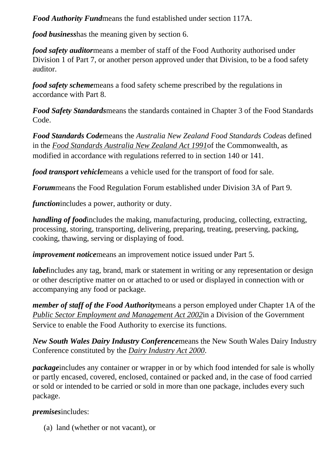*Food Authority Fund*means the fund established under section 117A.

*food business*has the meaning given by section 6.

*food safety auditor*means a member of staff of the Food Authority authorised under Division 1 of Part 7, or another person approved under that Division, to be a food safety auditor.

*food safety scheme*means a food safety scheme prescribed by the regulations in accordance with Part 8.

*Food Safety Standards*means the standards contained in Chapter 3 of the Food Standards Code.

*Food Standards Code*means the *Australia New Zealand Food Standards Code*as defined in the *[Food Standards Australia New Zealand Act 1991](http://www.comlaw.gov.au/)*of the Commonwealth, as modified in accordance with regulations referred to in section 140 or 141.

*food transport vehicle*means a vehicle used for the transport of food for sale.

*Forum*means the Food Regulation Forum established under Division 3A of Part 9.

*function*includes a power, authority or duty.

*handling of food* includes the making, manufacturing, producing, collecting, extracting, processing, storing, transporting, delivering, preparing, treating, preserving, packing, cooking, thawing, serving or displaying of food.

*improvement notice*means an improvement notice issued under Part 5.

*labelincludes any tag, brand, mark or statement in writing or any representation or design* or other descriptive matter on or attached to or used or displayed in connection with or accompanying any food or package.

*member of staff of the Food Authority*means a person employed under Chapter 1A of the *[Public Sector Employment and Management Act 2002](http://www.legislation.nsw.gov.au/xref/inforce/?xref=Type%3Dact%20AND%20Year%3D2002%20AND%20no%3D43&nohits=y)*in a Division of the Government Service to enable the Food Authority to exercise its functions.

*New South Wales Dairy Industry Conference*means the New South Wales Dairy Industry Conference constituted by the *[Dairy Industry Act 2000](http://www.legislation.nsw.gov.au/xref/inforce/?xref=Type%3Dact%20AND%20Year%3D2000%20AND%20no%3D54&nohits=y)*.

*package* includes any container or wrapper in or by which food intended for sale is wholly or partly encased, covered, enclosed, contained or packed and, in the case of food carried or sold or intended to be carried or sold in more than one package, includes every such package.

*premises*includes:

(a) land (whether or not vacant), or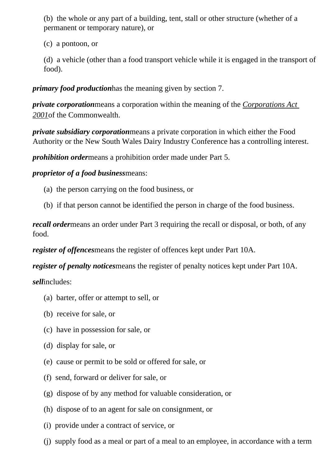(b) the whole or any part of a building, tent, stall or other structure (whether of a permanent or temporary nature), or

(c) a pontoon, or

(d) a vehicle (other than a food transport vehicle while it is engaged in the transport of food).

*primary food production*has the meaning given by section 7.

*private corporation*means a corporation within the meaning of the *[Corporations Act](http://www.comlaw.gov.au/)  [2001](http://www.comlaw.gov.au/)*of the Commonwealth.

*private subsidiary corporation*means a private corporation in which either the Food Authority or the New South Wales Dairy Industry Conference has a controlling interest.

*prohibition order*means a prohibition order made under Part 5.

#### *proprietor of a food business*means:

- (a) the person carrying on the food business, or
- (b) if that person cannot be identified the person in charge of the food business.

*recall order*means an order under Part 3 requiring the recall or disposal, or both, of any food.

*register of offences*means the register of offences kept under Part 10A.

*register of penalty notices*means the register of penalty notices kept under Part 10A.

*sell*includes:

- (a) barter, offer or attempt to sell, or
- (b) receive for sale, or
- (c) have in possession for sale, or
- (d) display for sale, or
- (e) cause or permit to be sold or offered for sale, or
- (f) send, forward or deliver for sale, or
- (g) dispose of by any method for valuable consideration, or
- (h) dispose of to an agent for sale on consignment, or
- (i) provide under a contract of service, or
- (j) supply food as a meal or part of a meal to an employee, in accordance with a term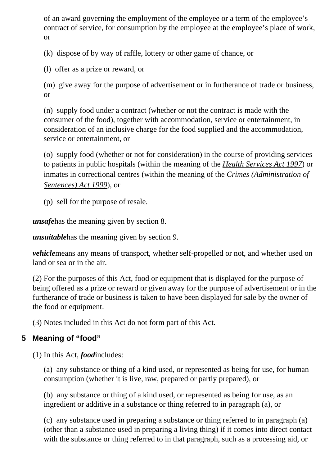of an award governing the employment of the employee or a term of the employee's contract of service, for consumption by the employee at the employee's place of work, or

(k) dispose of by way of raffle, lottery or other game of chance, or

(l) offer as a prize or reward, or

(m) give away for the purpose of advertisement or in furtherance of trade or business, or

(n) supply food under a contract (whether or not the contract is made with the consumer of the food), together with accommodation, service or entertainment, in consideration of an inclusive charge for the food supplied and the accommodation, service or entertainment, or

(o) supply food (whether or not for consideration) in the course of providing services to patients in public hospitals (within the meaning of the *[Health Services Act 1997](http://www.legislation.nsw.gov.au/xref/inforce/?xref=Type%3Dact%20AND%20Year%3D1997%20AND%20no%3D154&nohits=y)*) or inmates in correctional centres (within the meaning of the *[Crimes \(Administration of](http://www.legislation.nsw.gov.au/xref/inforce/?xref=Type%3Dact%20AND%20Year%3D1999%20AND%20no%3D93&nohits=y)  [Sentences\) Act 1999](http://www.legislation.nsw.gov.au/xref/inforce/?xref=Type%3Dact%20AND%20Year%3D1999%20AND%20no%3D93&nohits=y)*), or

(p) sell for the purpose of resale.

*unsafe*has the meaning given by section 8.

*unsuitable*has the meaning given by section 9.

*vehicle* means any means of transport, whether self-propelled or not, and whether used on land or sea or in the air.

(2) For the purposes of this Act, food or equipment that is displayed for the purpose of being offered as a prize or reward or given away for the purpose of advertisement or in the furtherance of trade or business is taken to have been displayed for sale by the owner of the food or equipment.

(3) Notes included in this Act do not form part of this Act.

# **5 Meaning of "food"**

(1) In this Act, *food*includes:

(a) any substance or thing of a kind used, or represented as being for use, for human consumption (whether it is live, raw, prepared or partly prepared), or

(b) any substance or thing of a kind used, or represented as being for use, as an ingredient or additive in a substance or thing referred to in paragraph (a), or

(c) any substance used in preparing a substance or thing referred to in paragraph (a) (other than a substance used in preparing a living thing) if it comes into direct contact with the substance or thing referred to in that paragraph, such as a processing aid, or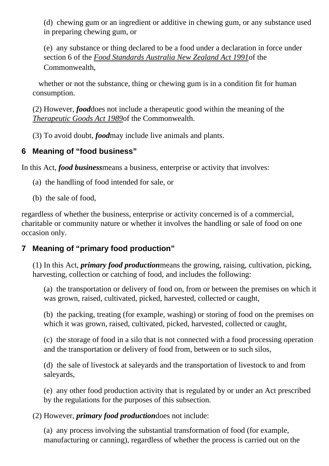(d) chewing gum or an ingredient or additive in chewing gum, or any substance used in preparing chewing gum, or

(e) any substance or thing declared to be a food under a declaration in force under section 6 of the *[Food Standards Australia New Zealand Act 1991](http://www.comlaw.gov.au/)*of the Commonwealth,

whether or not the substance, thing or chewing gum is in a condition fit for human consumption.

(2) However, *food*does not include a therapeutic good within the meaning of the *[Therapeutic Goods Act 1989](http://www.comlaw.gov.au/)*of the Commonwealth.

(3) To avoid doubt, *food*may include live animals and plants.

### **6 Meaning of "food business"**

In this Act, *food business*means a business, enterprise or activity that involves:

- (a) the handling of food intended for sale, or
- (b) the sale of food,

regardless of whether the business, enterprise or activity concerned is of a commercial, charitable or community nature or whether it involves the handling or sale of food on one occasion only.

## **7 Meaning of "primary food production"**

(1) In this Act, *primary food production*means the growing, raising, cultivation, picking, harvesting, collection or catching of food, and includes the following:

(a) the transportation or delivery of food on, from or between the premises on which it was grown, raised, cultivated, picked, harvested, collected or caught,

(b) the packing, treating (for example, washing) or storing of food on the premises on which it was grown, raised, cultivated, picked, harvested, collected or caught,

(c) the storage of food in a silo that is not connected with a food processing operation and the transportation or delivery of food from, between or to such silos,

(d) the sale of livestock at saleyards and the transportation of livestock to and from saleyards,

(e) any other food production activity that is regulated by or under an Act prescribed by the regulations for the purposes of this subsection.

(2) However, *primary food production*does not include:

(a) any process involving the substantial transformation of food (for example, manufacturing or canning), regardless of whether the process is carried out on the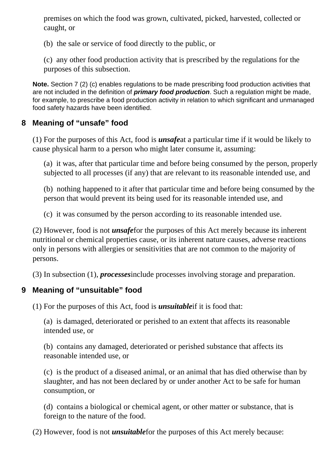premises on which the food was grown, cultivated, picked, harvested, collected or caught, or

(b) the sale or service of food directly to the public, or

(c) any other food production activity that is prescribed by the regulations for the purposes of this subsection.

**Note.** Section 7 (2) (c) enables regulations to be made prescribing food production activities that are not included in the definition of *primary food production*. Such a regulation might be made, for example, to prescribe a food production activity in relation to which significant and unmanaged food safety hazards have been identified.

### **8 Meaning of "unsafe" food**

(1) For the purposes of this Act, food is *unsafe*at a particular time if it would be likely to cause physical harm to a person who might later consume it, assuming:

(a) it was, after that particular time and before being consumed by the person, properly subjected to all processes (if any) that are relevant to its reasonable intended use, and

(b) nothing happened to it after that particular time and before being consumed by the person that would prevent its being used for its reasonable intended use, and

(c) it was consumed by the person according to its reasonable intended use.

(2) However, food is not *unsafe*for the purposes of this Act merely because its inherent nutritional or chemical properties cause, or its inherent nature causes, adverse reactions only in persons with allergies or sensitivities that are not common to the majority of persons.

(3) In subsection (1), *processes*include processes involving storage and preparation.

## **9 Meaning of "unsuitable" food**

(1) For the purposes of this Act, food is *unsuitable*if it is food that:

(a) is damaged, deteriorated or perished to an extent that affects its reasonable intended use, or

(b) contains any damaged, deteriorated or perished substance that affects its reasonable intended use, or

(c) is the product of a diseased animal, or an animal that has died otherwise than by slaughter, and has not been declared by or under another Act to be safe for human consumption, or

(d) contains a biological or chemical agent, or other matter or substance, that is foreign to the nature of the food.

(2) However, food is not *unsuitable*for the purposes of this Act merely because: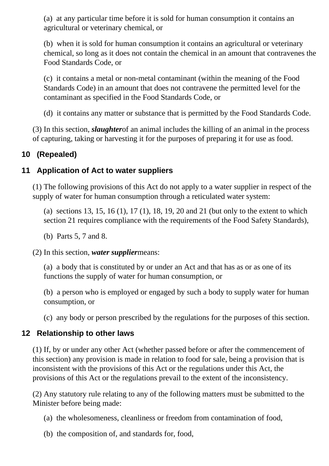(a) at any particular time before it is sold for human consumption it contains an agricultural or veterinary chemical, or

(b) when it is sold for human consumption it contains an agricultural or veterinary chemical, so long as it does not contain the chemical in an amount that contravenes the Food Standards Code, or

(c) it contains a metal or non-metal contaminant (within the meaning of the Food Standards Code) in an amount that does not contravene the permitted level for the contaminant as specified in the Food Standards Code, or

(d) it contains any matter or substance that is permitted by the Food Standards Code.

(3) In this section, *slaughter*of an animal includes the killing of an animal in the process of capturing, taking or harvesting it for the purposes of preparing it for use as food.

## **10 (Repealed)**

#### **11 Application of Act to water suppliers**

(1) The following provisions of this Act do not apply to a water supplier in respect of the supply of water for human consumption through a reticulated water system:

(a) sections 13, 15, 16 (1), 17 (1), 18, 19, 20 and 21 (but only to the extent to which section 21 requires compliance with the requirements of the Food Safety Standards),

(b) Parts 5, 7 and 8.

#### (2) In this section, *water supplier*means:

(a) a body that is constituted by or under an Act and that has as or as one of its functions the supply of water for human consumption, or

(b) a person who is employed or engaged by such a body to supply water for human consumption, or

(c) any body or person prescribed by the regulations for the purposes of this section.

#### **12 Relationship to other laws**

(1) If, by or under any other Act (whether passed before or after the commencement of this section) any provision is made in relation to food for sale, being a provision that is inconsistent with the provisions of this Act or the regulations under this Act, the provisions of this Act or the regulations prevail to the extent of the inconsistency.

(2) Any statutory rule relating to any of the following matters must be submitted to the Minister before being made:

- (a) the wholesomeness, cleanliness or freedom from contamination of food,
- (b) the composition of, and standards for, food,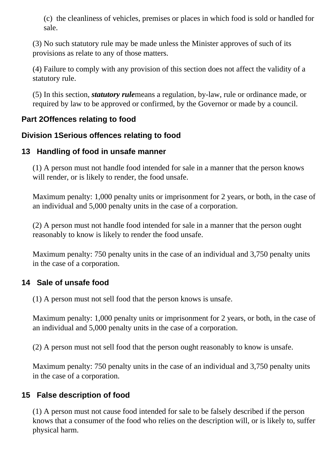(c) the cleanliness of vehicles, premises or places in which food is sold or handled for sale.

(3) No such statutory rule may be made unless the Minister approves of such of its provisions as relate to any of those matters.

(4) Failure to comply with any provision of this section does not affect the validity of a statutory rule.

(5) In this section, *statutory rule*means a regulation, by-law, rule or ordinance made, or required by law to be approved or confirmed, by the Governor or made by a council.

#### **Part 2Offences relating to food**

#### **Division 1Serious offences relating to food**

#### **13 Handling of food in unsafe manner**

(1) A person must not handle food intended for sale in a manner that the person knows will render, or is likely to render, the food unsafe.

Maximum penalty: 1,000 penalty units or imprisonment for 2 years, or both, in the case of an individual and 5,000 penalty units in the case of a corporation.

(2) A person must not handle food intended for sale in a manner that the person ought reasonably to know is likely to render the food unsafe.

Maximum penalty: 750 penalty units in the case of an individual and 3,750 penalty units in the case of a corporation.

#### **14 Sale of unsafe food**

(1) A person must not sell food that the person knows is unsafe.

Maximum penalty: 1,000 penalty units or imprisonment for 2 years, or both, in the case of an individual and 5,000 penalty units in the case of a corporation.

(2) A person must not sell food that the person ought reasonably to know is unsafe.

Maximum penalty: 750 penalty units in the case of an individual and 3,750 penalty units in the case of a corporation.

#### **15 False description of food**

(1) A person must not cause food intended for sale to be falsely described if the person knows that a consumer of the food who relies on the description will, or is likely to, suffer physical harm.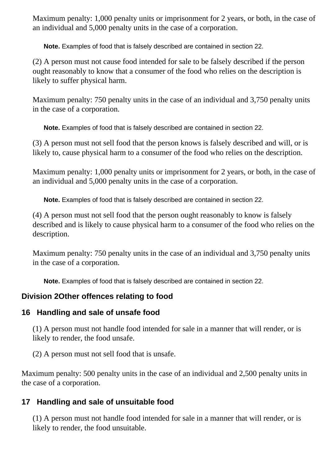Maximum penalty: 1,000 penalty units or imprisonment for 2 years, or both, in the case of an individual and 5,000 penalty units in the case of a corporation.

**Note.** Examples of food that is falsely described are contained in section 22.

(2) A person must not cause food intended for sale to be falsely described if the person ought reasonably to know that a consumer of the food who relies on the description is likely to suffer physical harm.

Maximum penalty: 750 penalty units in the case of an individual and 3,750 penalty units in the case of a corporation.

**Note.** Examples of food that is falsely described are contained in section 22.

(3) A person must not sell food that the person knows is falsely described and will, or is likely to, cause physical harm to a consumer of the food who relies on the description.

Maximum penalty: 1,000 penalty units or imprisonment for 2 years, or both, in the case of an individual and 5,000 penalty units in the case of a corporation.

**Note.** Examples of food that is falsely described are contained in section 22.

(4) A person must not sell food that the person ought reasonably to know is falsely described and is likely to cause physical harm to a consumer of the food who relies on the description.

Maximum penalty: 750 penalty units in the case of an individual and 3,750 penalty units in the case of a corporation.

**Note.** Examples of food that is falsely described are contained in section 22.

#### **Division 2Other offences relating to food**

#### **16 Handling and sale of unsafe food**

(1) A person must not handle food intended for sale in a manner that will render, or is likely to render, the food unsafe.

(2) A person must not sell food that is unsafe.

Maximum penalty: 500 penalty units in the case of an individual and 2,500 penalty units in the case of a corporation.

#### **17 Handling and sale of unsuitable food**

(1) A person must not handle food intended for sale in a manner that will render, or is likely to render, the food unsuitable.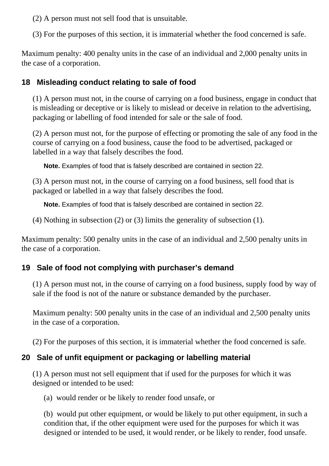(2) A person must not sell food that is unsuitable.

(3) For the purposes of this section, it is immaterial whether the food concerned is safe.

Maximum penalty: 400 penalty units in the case of an individual and 2,000 penalty units in the case of a corporation.

## **18 Misleading conduct relating to sale of food**

(1) A person must not, in the course of carrying on a food business, engage in conduct that is misleading or deceptive or is likely to mislead or deceive in relation to the advertising, packaging or labelling of food intended for sale or the sale of food.

(2) A person must not, for the purpose of effecting or promoting the sale of any food in the course of carrying on a food business, cause the food to be advertised, packaged or labelled in a way that falsely describes the food.

**Note.** Examples of food that is falsely described are contained in section 22.

(3) A person must not, in the course of carrying on a food business, sell food that is packaged or labelled in a way that falsely describes the food.

**Note.** Examples of food that is falsely described are contained in section 22.

(4) Nothing in subsection (2) or (3) limits the generality of subsection (1).

Maximum penalty: 500 penalty units in the case of an individual and 2,500 penalty units in the case of a corporation.

# **19 Sale of food not complying with purchaser's demand**

(1) A person must not, in the course of carrying on a food business, supply food by way of sale if the food is not of the nature or substance demanded by the purchaser.

Maximum penalty: 500 penalty units in the case of an individual and 2,500 penalty units in the case of a corporation.

(2) For the purposes of this section, it is immaterial whether the food concerned is safe.

## **20 Sale of unfit equipment or packaging or labelling material**

(1) A person must not sell equipment that if used for the purposes for which it was designed or intended to be used:

(a) would render or be likely to render food unsafe, or

(b) would put other equipment, or would be likely to put other equipment, in such a condition that, if the other equipment were used for the purposes for which it was designed or intended to be used, it would render, or be likely to render, food unsafe.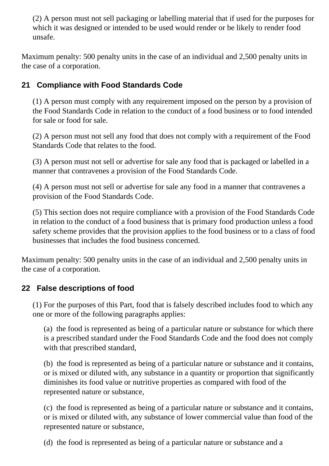(2) A person must not sell packaging or labelling material that if used for the purposes for which it was designed or intended to be used would render or be likely to render food unsafe.

Maximum penalty: 500 penalty units in the case of an individual and 2,500 penalty units in the case of a corporation.

## **21 Compliance with Food Standards Code**

(1) A person must comply with any requirement imposed on the person by a provision of the Food Standards Code in relation to the conduct of a food business or to food intended for sale or food for sale.

(2) A person must not sell any food that does not comply with a requirement of the Food Standards Code that relates to the food.

(3) A person must not sell or advertise for sale any food that is packaged or labelled in a manner that contravenes a provision of the Food Standards Code.

(4) A person must not sell or advertise for sale any food in a manner that contravenes a provision of the Food Standards Code.

(5) This section does not require compliance with a provision of the Food Standards Code in relation to the conduct of a food business that is primary food production unless a food safety scheme provides that the provision applies to the food business or to a class of food businesses that includes the food business concerned.

Maximum penalty: 500 penalty units in the case of an individual and 2,500 penalty units in the case of a corporation.

## **22 False descriptions of food**

(1) For the purposes of this Part, food that is falsely described includes food to which any one or more of the following paragraphs applies:

(a) the food is represented as being of a particular nature or substance for which there is a prescribed standard under the Food Standards Code and the food does not comply with that prescribed standard,

(b) the food is represented as being of a particular nature or substance and it contains, or is mixed or diluted with, any substance in a quantity or proportion that significantly diminishes its food value or nutritive properties as compared with food of the represented nature or substance,

(c) the food is represented as being of a particular nature or substance and it contains, or is mixed or diluted with, any substance of lower commercial value than food of the represented nature or substance,

(d) the food is represented as being of a particular nature or substance and a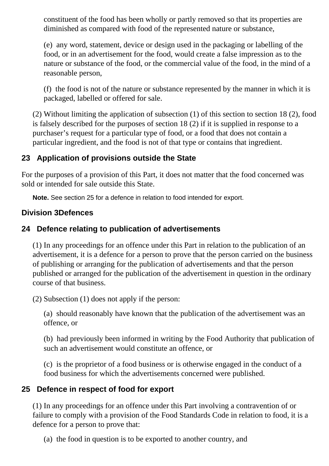constituent of the food has been wholly or partly removed so that its properties are diminished as compared with food of the represented nature or substance,

(e) any word, statement, device or design used in the packaging or labelling of the food, or in an advertisement for the food, would create a false impression as to the nature or substance of the food, or the commercial value of the food, in the mind of a reasonable person,

(f) the food is not of the nature or substance represented by the manner in which it is packaged, labelled or offered for sale.

(2) Without limiting the application of subsection (1) of this section to section 18 (2), food is falsely described for the purposes of section 18 (2) if it is supplied in response to a purchaser's request for a particular type of food, or a food that does not contain a particular ingredient, and the food is not of that type or contains that ingredient.

## **23 Application of provisions outside the State**

For the purposes of a provision of this Part, it does not matter that the food concerned was sold or intended for sale outside this State.

**Note.** See section 25 for a defence in relation to food intended for export.

#### **Division 3Defences**

#### **24 Defence relating to publication of advertisements**

(1) In any proceedings for an offence under this Part in relation to the publication of an advertisement, it is a defence for a person to prove that the person carried on the business of publishing or arranging for the publication of advertisements and that the person published or arranged for the publication of the advertisement in question in the ordinary course of that business.

(2) Subsection (1) does not apply if the person:

(a) should reasonably have known that the publication of the advertisement was an offence, or

(b) had previously been informed in writing by the Food Authority that publication of such an advertisement would constitute an offence, or

(c) is the proprietor of a food business or is otherwise engaged in the conduct of a food business for which the advertisements concerned were published.

#### **25 Defence in respect of food for export**

(1) In any proceedings for an offence under this Part involving a contravention of or failure to comply with a provision of the Food Standards Code in relation to food, it is a defence for a person to prove that:

(a) the food in question is to be exported to another country, and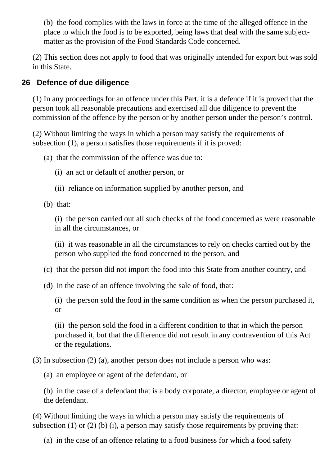(b) the food complies with the laws in force at the time of the alleged offence in the place to which the food is to be exported, being laws that deal with the same subjectmatter as the provision of the Food Standards Code concerned.

(2) This section does not apply to food that was originally intended for export but was sold in this State.

### **26 Defence of due diligence**

(1) In any proceedings for an offence under this Part, it is a defence if it is proved that the person took all reasonable precautions and exercised all due diligence to prevent the commission of the offence by the person or by another person under the person's control.

(2) Without limiting the ways in which a person may satisfy the requirements of subsection (1), a person satisfies those requirements if it is proved:

(a) that the commission of the offence was due to:

- (i) an act or default of another person, or
- (ii) reliance on information supplied by another person, and
- (b) that:

(i) the person carried out all such checks of the food concerned as were reasonable in all the circumstances, or

(ii) it was reasonable in all the circumstances to rely on checks carried out by the person who supplied the food concerned to the person, and

- (c) that the person did not import the food into this State from another country, and
- (d) in the case of an offence involving the sale of food, that:

(i) the person sold the food in the same condition as when the person purchased it, or

(ii) the person sold the food in a different condition to that in which the person purchased it, but that the difference did not result in any contravention of this Act or the regulations.

(3) In subsection (2) (a), another person does not include a person who was:

(a) an employee or agent of the defendant, or

(b) in the case of a defendant that is a body corporate, a director, employee or agent of the defendant.

(4) Without limiting the ways in which a person may satisfy the requirements of subsection (1) or (2) (b) (i), a person may satisfy those requirements by proving that:

(a) in the case of an offence relating to a food business for which a food safety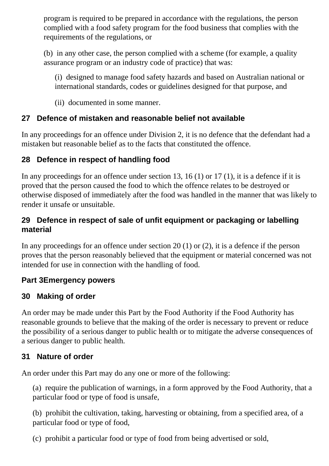program is required to be prepared in accordance with the regulations, the person complied with a food safety program for the food business that complies with the requirements of the regulations, or

(b) in any other case, the person complied with a scheme (for example, a quality assurance program or an industry code of practice) that was:

(i) designed to manage food safety hazards and based on Australian national or international standards, codes or guidelines designed for that purpose, and

(ii) documented in some manner.

### **27 Defence of mistaken and reasonable belief not available**

In any proceedings for an offence under Division 2, it is no defence that the defendant had a mistaken but reasonable belief as to the facts that constituted the offence.

### **28 Defence in respect of handling food**

In any proceedings for an offence under section 13, 16 (1) or 17 (1), it is a defence if it is proved that the person caused the food to which the offence relates to be destroyed or otherwise disposed of immediately after the food was handled in the manner that was likely to render it unsafe or unsuitable.

#### **29 Defence in respect of sale of unfit equipment or packaging or labelling material**

In any proceedings for an offence under section 20 (1) or (2), it is a defence if the person proves that the person reasonably believed that the equipment or material concerned was not intended for use in connection with the handling of food.

#### **Part 3Emergency powers**

#### **30 Making of order**

An order may be made under this Part by the Food Authority if the Food Authority has reasonable grounds to believe that the making of the order is necessary to prevent or reduce the possibility of a serious danger to public health or to mitigate the adverse consequences of a serious danger to public health.

#### **31 Nature of order**

An order under this Part may do any one or more of the following:

(a) require the publication of warnings, in a form approved by the Food Authority, that a particular food or type of food is unsafe,

(b) prohibit the cultivation, taking, harvesting or obtaining, from a specified area, of a particular food or type of food,

(c) prohibit a particular food or type of food from being advertised or sold,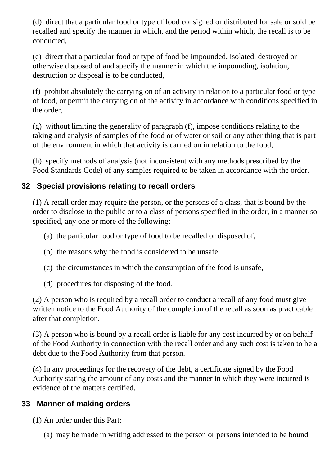(d) direct that a particular food or type of food consigned or distributed for sale or sold be recalled and specify the manner in which, and the period within which, the recall is to be conducted,

(e) direct that a particular food or type of food be impounded, isolated, destroyed or otherwise disposed of and specify the manner in which the impounding, isolation, destruction or disposal is to be conducted,

(f) prohibit absolutely the carrying on of an activity in relation to a particular food or type of food, or permit the carrying on of the activity in accordance with conditions specified in the order,

(g) without limiting the generality of paragraph (f), impose conditions relating to the taking and analysis of samples of the food or of water or soil or any other thing that is part of the environment in which that activity is carried on in relation to the food,

(h) specify methods of analysis (not inconsistent with any methods prescribed by the Food Standards Code) of any samples required to be taken in accordance with the order.

### **32 Special provisions relating to recall orders**

(1) A recall order may require the person, or the persons of a class, that is bound by the order to disclose to the public or to a class of persons specified in the order, in a manner so specified, any one or more of the following:

- (a) the particular food or type of food to be recalled or disposed of,
- (b) the reasons why the food is considered to be unsafe,
- (c) the circumstances in which the consumption of the food is unsafe,
- (d) procedures for disposing of the food.

(2) A person who is required by a recall order to conduct a recall of any food must give written notice to the Food Authority of the completion of the recall as soon as practicable after that completion.

(3) A person who is bound by a recall order is liable for any cost incurred by or on behalf of the Food Authority in connection with the recall order and any such cost is taken to be a debt due to the Food Authority from that person.

(4) In any proceedings for the recovery of the debt, a certificate signed by the Food Authority stating the amount of any costs and the manner in which they were incurred is evidence of the matters certified.

#### **33 Manner of making orders**

- (1) An order under this Part:
	- (a) may be made in writing addressed to the person or persons intended to be bound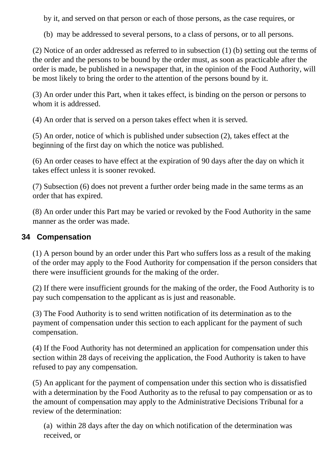by it, and served on that person or each of those persons, as the case requires, or

(b) may be addressed to several persons, to a class of persons, or to all persons.

(2) Notice of an order addressed as referred to in subsection (1) (b) setting out the terms of the order and the persons to be bound by the order must, as soon as practicable after the order is made, be published in a newspaper that, in the opinion of the Food Authority, will be most likely to bring the order to the attention of the persons bound by it.

(3) An order under this Part, when it takes effect, is binding on the person or persons to whom it is addressed.

(4) An order that is served on a person takes effect when it is served.

(5) An order, notice of which is published under subsection (2), takes effect at the beginning of the first day on which the notice was published.

(6) An order ceases to have effect at the expiration of 90 days after the day on which it takes effect unless it is sooner revoked.

(7) Subsection (6) does not prevent a further order being made in the same terms as an order that has expired.

(8) An order under this Part may be varied or revoked by the Food Authority in the same manner as the order was made.

### **34 Compensation**

(1) A person bound by an order under this Part who suffers loss as a result of the making of the order may apply to the Food Authority for compensation if the person considers that there were insufficient grounds for the making of the order.

(2) If there were insufficient grounds for the making of the order, the Food Authority is to pay such compensation to the applicant as is just and reasonable.

(3) The Food Authority is to send written notification of its determination as to the payment of compensation under this section to each applicant for the payment of such compensation.

(4) If the Food Authority has not determined an application for compensation under this section within 28 days of receiving the application, the Food Authority is taken to have refused to pay any compensation.

(5) An applicant for the payment of compensation under this section who is dissatisfied with a determination by the Food Authority as to the refusal to pay compensation or as to the amount of compensation may apply to the Administrative Decisions Tribunal for a review of the determination:

(a) within 28 days after the day on which notification of the determination was received, or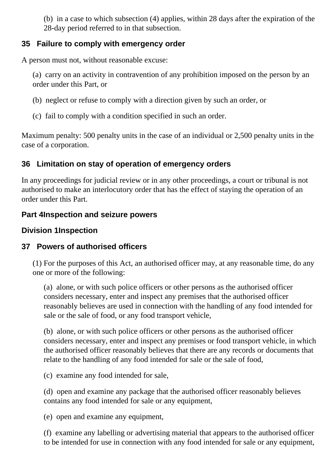(b) in a case to which subsection (4) applies, within 28 days after the expiration of the 28-day period referred to in that subsection.

### **35 Failure to comply with emergency order**

A person must not, without reasonable excuse:

(a) carry on an activity in contravention of any prohibition imposed on the person by an order under this Part, or

- (b) neglect or refuse to comply with a direction given by such an order, or
- (c) fail to comply with a condition specified in such an order.

Maximum penalty: 500 penalty units in the case of an individual or 2,500 penalty units in the case of a corporation.

## **36 Limitation on stay of operation of emergency orders**

In any proceedings for judicial review or in any other proceedings, a court or tribunal is not authorised to make an interlocutory order that has the effect of staying the operation of an order under this Part.

#### **Part 4Inspection and seizure powers**

### **Division 1Inspection**

## **37 Powers of authorised officers**

(1) For the purposes of this Act, an authorised officer may, at any reasonable time, do any one or more of the following:

(a) alone, or with such police officers or other persons as the authorised officer considers necessary, enter and inspect any premises that the authorised officer reasonably believes are used in connection with the handling of any food intended for sale or the sale of food, or any food transport vehicle,

(b) alone, or with such police officers or other persons as the authorised officer considers necessary, enter and inspect any premises or food transport vehicle, in which the authorised officer reasonably believes that there are any records or documents that relate to the handling of any food intended for sale or the sale of food,

(c) examine any food intended for sale,

(d) open and examine any package that the authorised officer reasonably believes contains any food intended for sale or any equipment,

(e) open and examine any equipment,

(f) examine any labelling or advertising material that appears to the authorised officer to be intended for use in connection with any food intended for sale or any equipment,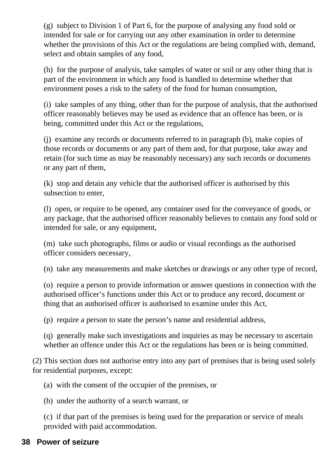(g) subject to Division 1 of Part 6, for the purpose of analysing any food sold or intended for sale or for carrying out any other examination in order to determine whether the provisions of this Act or the regulations are being complied with, demand, select and obtain samples of any food,

(h) for the purpose of analysis, take samples of water or soil or any other thing that is part of the environment in which any food is handled to determine whether that environment poses a risk to the safety of the food for human consumption,

(i) take samples of any thing, other than for the purpose of analysis, that the authorised officer reasonably believes may be used as evidence that an offence has been, or is being, committed under this Act or the regulations,

(j) examine any records or documents referred to in paragraph (b), make copies of those records or documents or any part of them and, for that purpose, take away and retain (for such time as may be reasonably necessary) any such records or documents or any part of them,

(k) stop and detain any vehicle that the authorised officer is authorised by this subsection to enter,

(l) open, or require to be opened, any container used for the conveyance of goods, or any package, that the authorised officer reasonably believes to contain any food sold or intended for sale, or any equipment,

(m) take such photographs, films or audio or visual recordings as the authorised officer considers necessary,

(n) take any measurements and make sketches or drawings or any other type of record,

(o) require a person to provide information or answer questions in connection with the authorised officer's functions under this Act or to produce any record, document or thing that an authorised officer is authorised to examine under this Act,

(p) require a person to state the person's name and residential address,

(q) generally make such investigations and inquiries as may be necessary to ascertain whether an offence under this Act or the regulations has been or is being committed.

(2) This section does not authorise entry into any part of premises that is being used solely for residential purposes, except:

(a) with the consent of the occupier of the premises, or

(b) under the authority of a search warrant, or

(c) if that part of the premises is being used for the preparation or service of meals provided with paid accommodation.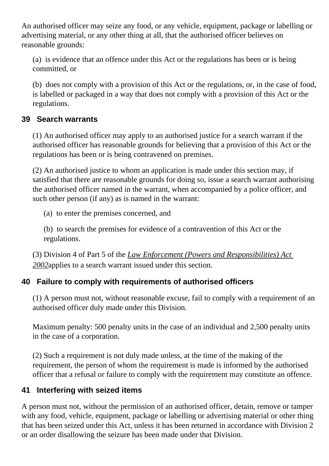An authorised officer may seize any food, or any vehicle, equipment, package or labelling or advertising material, or any other thing at all, that the authorised officer believes on reasonable grounds:

(a) is evidence that an offence under this Act or the regulations has been or is being committed, or

(b) does not comply with a provision of this Act or the regulations, or, in the case of food, is labelled or packaged in a way that does not comply with a provision of this Act or the regulations.

### **39 Search warrants**

(1) An authorised officer may apply to an authorised justice for a search warrant if the authorised officer has reasonable grounds for believing that a provision of this Act or the regulations has been or is being contravened on premises.

(2) An authorised justice to whom an application is made under this section may, if satisfied that there are reasonable grounds for doing so, issue a search warrant authorising the authorised officer named in the warrant, when accompanied by a police officer, and such other person (if any) as is named in the warrant:

(a) to enter the premises concerned, and

(b) to search the premises for evidence of a contravention of this Act or the regulations.

(3) Division 4 of Part 5 of the *[Law Enforcement \(Powers and Responsibilities\) Act](http://www.legislation.nsw.gov.au/xref/inforce/?xref=Type%3Dact%20AND%20Year%3D2002%20AND%20no%3D103&nohits=y)  [2002](http://www.legislation.nsw.gov.au/xref/inforce/?xref=Type%3Dact%20AND%20Year%3D2002%20AND%20no%3D103&nohits=y)*applies to a search warrant issued under this section.

## **40 Failure to comply with requirements of authorised officers**

(1) A person must not, without reasonable excuse, fail to comply with a requirement of an authorised officer duly made under this Division.

Maximum penalty: 500 penalty units in the case of an individual and 2,500 penalty units in the case of a corporation.

(2) Such a requirement is not duly made unless, at the time of the making of the requirement, the person of whom the requirement is made is informed by the authorised officer that a refusal or failure to comply with the requirement may constitute an offence.

## **41 Interfering with seized items**

A person must not, without the permission of an authorised officer, detain, remove or tamper with any food, vehicle, equipment, package or labelling or advertising material or other thing that has been seized under this Act, unless it has been returned in accordance with Division 2 or an order disallowing the seizure has been made under that Division.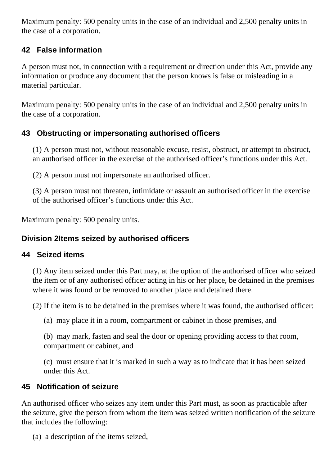Maximum penalty: 500 penalty units in the case of an individual and 2,500 penalty units in the case of a corporation.

## **42 False information**

A person must not, in connection with a requirement or direction under this Act, provide any information or produce any document that the person knows is false or misleading in a material particular.

Maximum penalty: 500 penalty units in the case of an individual and 2,500 penalty units in the case of a corporation.

## **43 Obstructing or impersonating authorised officers**

(1) A person must not, without reasonable excuse, resist, obstruct, or attempt to obstruct, an authorised officer in the exercise of the authorised officer's functions under this Act.

(2) A person must not impersonate an authorised officer.

(3) A person must not threaten, intimidate or assault an authorised officer in the exercise of the authorised officer's functions under this Act.

Maximum penalty: 500 penalty units.

## **Division 2Items seized by authorised officers**

#### **44 Seized items**

(1) Any item seized under this Part may, at the option of the authorised officer who seized the item or of any authorised officer acting in his or her place, be detained in the premises where it was found or be removed to another place and detained there.

(2) If the item is to be detained in the premises where it was found, the authorised officer:

(a) may place it in a room, compartment or cabinet in those premises, and

(b) may mark, fasten and seal the door or opening providing access to that room, compartment or cabinet, and

(c) must ensure that it is marked in such a way as to indicate that it has been seized under this Act.

#### **45 Notification of seizure**

An authorised officer who seizes any item under this Part must, as soon as practicable after the seizure, give the person from whom the item was seized written notification of the seizure that includes the following:

(a) a description of the items seized,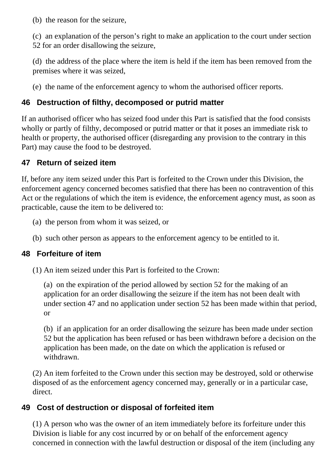(b) the reason for the seizure,

(c) an explanation of the person's right to make an application to the court under section 52 for an order disallowing the seizure,

(d) the address of the place where the item is held if the item has been removed from the premises where it was seized,

(e) the name of the enforcement agency to whom the authorised officer reports.

# **46 Destruction of filthy, decomposed or putrid matter**

If an authorised officer who has seized food under this Part is satisfied that the food consists wholly or partly of filthy, decomposed or putrid matter or that it poses an immediate risk to health or property, the authorised officer (disregarding any provision to the contrary in this Part) may cause the food to be destroyed.

# **47 Return of seized item**

If, before any item seized under this Part is forfeited to the Crown under this Division, the enforcement agency concerned becomes satisfied that there has been no contravention of this Act or the regulations of which the item is evidence, the enforcement agency must, as soon as practicable, cause the item to be delivered to:

- (a) the person from whom it was seized, or
- (b) such other person as appears to the enforcement agency to be entitled to it.

## **48 Forfeiture of item**

(1) An item seized under this Part is forfeited to the Crown:

(a) on the expiration of the period allowed by section 52 for the making of an application for an order disallowing the seizure if the item has not been dealt with under section 47 and no application under section 52 has been made within that period, or

(b) if an application for an order disallowing the seizure has been made under section 52 but the application has been refused or has been withdrawn before a decision on the application has been made, on the date on which the application is refused or withdrawn.

(2) An item forfeited to the Crown under this section may be destroyed, sold or otherwise disposed of as the enforcement agency concerned may, generally or in a particular case, direct.

# **49 Cost of destruction or disposal of forfeited item**

(1) A person who was the owner of an item immediately before its forfeiture under this Division is liable for any cost incurred by or on behalf of the enforcement agency concerned in connection with the lawful destruction or disposal of the item (including any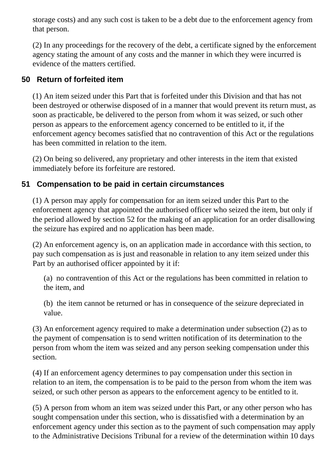storage costs) and any such cost is taken to be a debt due to the enforcement agency from that person.

(2) In any proceedings for the recovery of the debt, a certificate signed by the enforcement agency stating the amount of any costs and the manner in which they were incurred is evidence of the matters certified.

### **50 Return of forfeited item**

(1) An item seized under this Part that is forfeited under this Division and that has not been destroyed or otherwise disposed of in a manner that would prevent its return must, as soon as practicable, be delivered to the person from whom it was seized, or such other person as appears to the enforcement agency concerned to be entitled to it, if the enforcement agency becomes satisfied that no contravention of this Act or the regulations has been committed in relation to the item.

(2) On being so delivered, any proprietary and other interests in the item that existed immediately before its forfeiture are restored.

### **51 Compensation to be paid in certain circumstances**

(1) A person may apply for compensation for an item seized under this Part to the enforcement agency that appointed the authorised officer who seized the item, but only if the period allowed by section 52 for the making of an application for an order disallowing the seizure has expired and no application has been made.

(2) An enforcement agency is, on an application made in accordance with this section, to pay such compensation as is just and reasonable in relation to any item seized under this Part by an authorised officer appointed by it if:

(a) no contravention of this Act or the regulations has been committed in relation to the item, and

(b) the item cannot be returned or has in consequence of the seizure depreciated in value.

(3) An enforcement agency required to make a determination under subsection (2) as to the payment of compensation is to send written notification of its determination to the person from whom the item was seized and any person seeking compensation under this section.

(4) If an enforcement agency determines to pay compensation under this section in relation to an item, the compensation is to be paid to the person from whom the item was seized, or such other person as appears to the enforcement agency to be entitled to it.

(5) A person from whom an item was seized under this Part, or any other person who has sought compensation under this section, who is dissatisfied with a determination by an enforcement agency under this section as to the payment of such compensation may apply to the Administrative Decisions Tribunal for a review of the determination within 10 days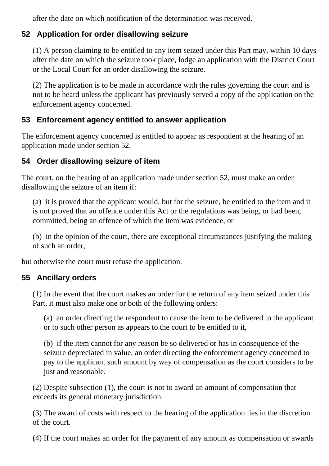after the date on which notification of the determination was received.

### **52 Application for order disallowing seizure**

(1) A person claiming to be entitled to any item seized under this Part may, within 10 days after the date on which the seizure took place, lodge an application with the District Court or the Local Court for an order disallowing the seizure.

(2) The application is to be made in accordance with the rules governing the court and is not to be heard unless the applicant has previously served a copy of the application on the enforcement agency concerned.

### **53 Enforcement agency entitled to answer application**

The enforcement agency concerned is entitled to appear as respondent at the hearing of an application made under section 52.

#### **54 Order disallowing seizure of item**

The court, on the hearing of an application made under section 52, must make an order disallowing the seizure of an item if:

(a) it is proved that the applicant would, but for the seizure, be entitled to the item and it is not proved that an offence under this Act or the regulations was being, or had been, committed, being an offence of which the item was evidence, or

(b) in the opinion of the court, there are exceptional circumstances justifying the making of such an order,

but otherwise the court must refuse the application.

#### **55 Ancillary orders**

(1) In the event that the court makes an order for the return of any item seized under this Part, it must also make one or both of the following orders:

(a) an order directing the respondent to cause the item to be delivered to the applicant or to such other person as appears to the court to be entitled to it,

(b) if the item cannot for any reason be so delivered or has in consequence of the seizure depreciated in value, an order directing the enforcement agency concerned to pay to the applicant such amount by way of compensation as the court considers to be just and reasonable.

(2) Despite subsection (1), the court is not to award an amount of compensation that exceeds its general monetary jurisdiction.

(3) The award of costs with respect to the hearing of the application lies in the discretion of the court.

(4) If the court makes an order for the payment of any amount as compensation or awards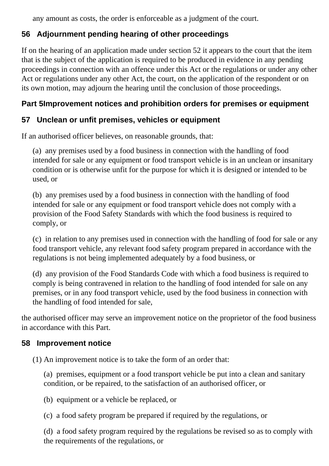any amount as costs, the order is enforceable as a judgment of the court.

# **56 Adjournment pending hearing of other proceedings**

If on the hearing of an application made under section 52 it appears to the court that the item that is the subject of the application is required to be produced in evidence in any pending proceedings in connection with an offence under this Act or the regulations or under any other Act or regulations under any other Act, the court, on the application of the respondent or on its own motion, may adjourn the hearing until the conclusion of those proceedings.

# **Part 5Improvement notices and prohibition orders for premises or equipment**

## **57 Unclean or unfit premises, vehicles or equipment**

If an authorised officer believes, on reasonable grounds, that:

(a) any premises used by a food business in connection with the handling of food intended for sale or any equipment or food transport vehicle is in an unclean or insanitary condition or is otherwise unfit for the purpose for which it is designed or intended to be used, or

(b) any premises used by a food business in connection with the handling of food intended for sale or any equipment or food transport vehicle does not comply with a provision of the Food Safety Standards with which the food business is required to comply, or

(c) in relation to any premises used in connection with the handling of food for sale or any food transport vehicle, any relevant food safety program prepared in accordance with the regulations is not being implemented adequately by a food business, or

(d) any provision of the Food Standards Code with which a food business is required to comply is being contravened in relation to the handling of food intended for sale on any premises, or in any food transport vehicle, used by the food business in connection with the handling of food intended for sale,

the authorised officer may serve an improvement notice on the proprietor of the food business in accordance with this Part.

#### **58 Improvement notice**

(1) An improvement notice is to take the form of an order that:

(a) premises, equipment or a food transport vehicle be put into a clean and sanitary condition, or be repaired, to the satisfaction of an authorised officer, or

(b) equipment or a vehicle be replaced, or

(c) a food safety program be prepared if required by the regulations, or

(d) a food safety program required by the regulations be revised so as to comply with the requirements of the regulations, or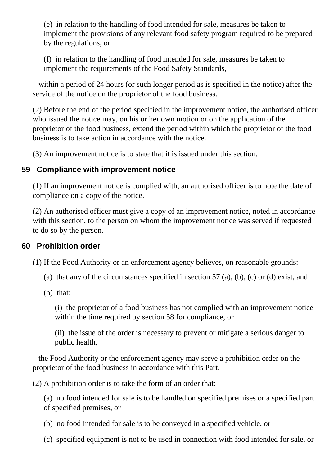(e) in relation to the handling of food intended for sale, measures be taken to implement the provisions of any relevant food safety program required to be prepared by the regulations, or

(f) in relation to the handling of food intended for sale, measures be taken to implement the requirements of the Food Safety Standards,

 within a period of 24 hours (or such longer period as is specified in the notice) after the service of the notice on the proprietor of the food business.

(2) Before the end of the period specified in the improvement notice, the authorised officer who issued the notice may, on his or her own motion or on the application of the proprietor of the food business, extend the period within which the proprietor of the food business is to take action in accordance with the notice.

(3) An improvement notice is to state that it is issued under this section.

#### **59 Compliance with improvement notice**

(1) If an improvement notice is complied with, an authorised officer is to note the date of compliance on a copy of the notice.

(2) An authorised officer must give a copy of an improvement notice, noted in accordance with this section, to the person on whom the improvement notice was served if requested to do so by the person.

#### **60 Prohibition order**

(1) If the Food Authority or an enforcement agency believes, on reasonable grounds:

(a) that any of the circumstances specified in section 57 (a), (b), (c) or (d) exist, and

(b) that:

(i) the proprietor of a food business has not complied with an improvement notice within the time required by section 58 for compliance, or

(ii) the issue of the order is necessary to prevent or mitigate a serious danger to public health,

 the Food Authority or the enforcement agency may serve a prohibition order on the proprietor of the food business in accordance with this Part.

(2) A prohibition order is to take the form of an order that:

(a) no food intended for sale is to be handled on specified premises or a specified part of specified premises, or

(b) no food intended for sale is to be conveyed in a specified vehicle, or

(c) specified equipment is not to be used in connection with food intended for sale, or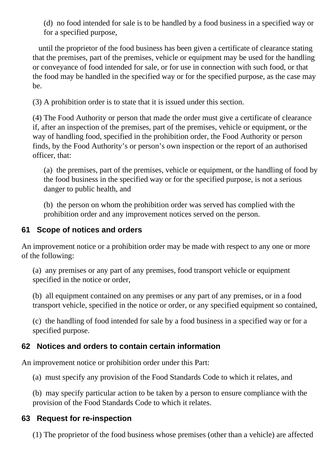(d) no food intended for sale is to be handled by a food business in a specified way or for a specified purpose,

 until the proprietor of the food business has been given a certificate of clearance stating that the premises, part of the premises, vehicle or equipment may be used for the handling or conveyance of food intended for sale, or for use in connection with such food, or that the food may be handled in the specified way or for the specified purpose, as the case may be.

(3) A prohibition order is to state that it is issued under this section.

(4) The Food Authority or person that made the order must give a certificate of clearance if, after an inspection of the premises, part of the premises, vehicle or equipment, or the way of handling food, specified in the prohibition order, the Food Authority or person finds, by the Food Authority's or person's own inspection or the report of an authorised officer, that:

(a) the premises, part of the premises, vehicle or equipment, or the handling of food by the food business in the specified way or for the specified purpose, is not a serious danger to public health, and

(b) the person on whom the prohibition order was served has complied with the prohibition order and any improvement notices served on the person.

### **61 Scope of notices and orders**

An improvement notice or a prohibition order may be made with respect to any one or more of the following:

(a) any premises or any part of any premises, food transport vehicle or equipment specified in the notice or order,

(b) all equipment contained on any premises or any part of any premises, or in a food transport vehicle, specified in the notice or order, or any specified equipment so contained,

(c) the handling of food intended for sale by a food business in a specified way or for a specified purpose.

#### **62 Notices and orders to contain certain information**

An improvement notice or prohibition order under this Part:

(a) must specify any provision of the Food Standards Code to which it relates, and

(b) may specify particular action to be taken by a person to ensure compliance with the provision of the Food Standards Code to which it relates.

#### **63 Request for re-inspection**

(1) The proprietor of the food business whose premises (other than a vehicle) are affected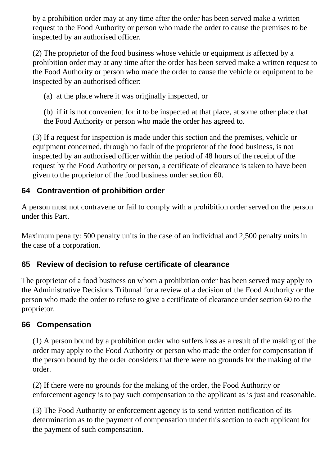by a prohibition order may at any time after the order has been served make a written request to the Food Authority or person who made the order to cause the premises to be inspected by an authorised officer.

(2) The proprietor of the food business whose vehicle or equipment is affected by a prohibition order may at any time after the order has been served make a written request to the Food Authority or person who made the order to cause the vehicle or equipment to be inspected by an authorised officer:

(a) at the place where it was originally inspected, or

(b) if it is not convenient for it to be inspected at that place, at some other place that the Food Authority or person who made the order has agreed to.

(3) If a request for inspection is made under this section and the premises, vehicle or equipment concerned, through no fault of the proprietor of the food business, is not inspected by an authorised officer within the period of 48 hours of the receipt of the request by the Food Authority or person, a certificate of clearance is taken to have been given to the proprietor of the food business under section 60.

# **64 Contravention of prohibition order**

A person must not contravene or fail to comply with a prohibition order served on the person under this Part.

Maximum penalty: 500 penalty units in the case of an individual and 2,500 penalty units in the case of a corporation.

## **65 Review of decision to refuse certificate of clearance**

The proprietor of a food business on whom a prohibition order has been served may apply to the Administrative Decisions Tribunal for a review of a decision of the Food Authority or the person who made the order to refuse to give a certificate of clearance under section 60 to the proprietor.

## **66 Compensation**

(1) A person bound by a prohibition order who suffers loss as a result of the making of the order may apply to the Food Authority or person who made the order for compensation if the person bound by the order considers that there were no grounds for the making of the order.

(2) If there were no grounds for the making of the order, the Food Authority or enforcement agency is to pay such compensation to the applicant as is just and reasonable.

(3) The Food Authority or enforcement agency is to send written notification of its determination as to the payment of compensation under this section to each applicant for the payment of such compensation.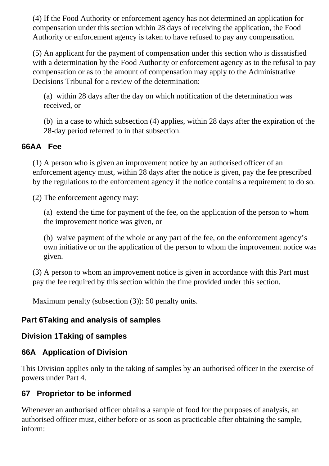(4) If the Food Authority or enforcement agency has not determined an application for compensation under this section within 28 days of receiving the application, the Food Authority or enforcement agency is taken to have refused to pay any compensation.

(5) An applicant for the payment of compensation under this section who is dissatisfied with a determination by the Food Authority or enforcement agency as to the refusal to pay compensation or as to the amount of compensation may apply to the Administrative Decisions Tribunal for a review of the determination:

(a) within 28 days after the day on which notification of the determination was received, or

(b) in a case to which subsection (4) applies, within 28 days after the expiration of the 28-day period referred to in that subsection.

#### **66AA Fee**

(1) A person who is given an improvement notice by an authorised officer of an enforcement agency must, within 28 days after the notice is given, pay the fee prescribed by the regulations to the enforcement agency if the notice contains a requirement to do so.

(2) The enforcement agency may:

(a) extend the time for payment of the fee, on the application of the person to whom the improvement notice was given, or

(b) waive payment of the whole or any part of the fee, on the enforcement agency's own initiative or on the application of the person to whom the improvement notice was given.

(3) A person to whom an improvement notice is given in accordance with this Part must pay the fee required by this section within the time provided under this section.

Maximum penalty (subsection (3)): 50 penalty units.

## **Part 6Taking and analysis of samples**

#### **Division 1Taking of samples**

## **66A Application of Division**

This Division applies only to the taking of samples by an authorised officer in the exercise of powers under Part 4.

## **67 Proprietor to be informed**

Whenever an authorised officer obtains a sample of food for the purposes of analysis, an authorised officer must, either before or as soon as practicable after obtaining the sample, inform: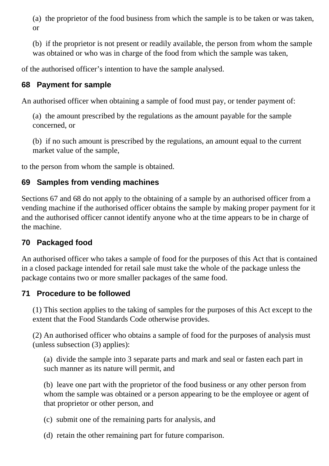(a) the proprietor of the food business from which the sample is to be taken or was taken, or

(b) if the proprietor is not present or readily available, the person from whom the sample was obtained or who was in charge of the food from which the sample was taken,

of the authorised officer's intention to have the sample analysed.

### **68 Payment for sample**

An authorised officer when obtaining a sample of food must pay, or tender payment of:

(a) the amount prescribed by the regulations as the amount payable for the sample concerned, or

(b) if no such amount is prescribed by the regulations, an amount equal to the current market value of the sample,

to the person from whom the sample is obtained.

### **69 Samples from vending machines**

Sections 67 and 68 do not apply to the obtaining of a sample by an authorised officer from a vending machine if the authorised officer obtains the sample by making proper payment for it and the authorised officer cannot identify anyone who at the time appears to be in charge of the machine.

## **70 Packaged food**

An authorised officer who takes a sample of food for the purposes of this Act that is contained in a closed package intended for retail sale must take the whole of the package unless the package contains two or more smaller packages of the same food.

## **71 Procedure to be followed**

(1) This section applies to the taking of samples for the purposes of this Act except to the extent that the Food Standards Code otherwise provides.

(2) An authorised officer who obtains a sample of food for the purposes of analysis must (unless subsection (3) applies):

(a) divide the sample into 3 separate parts and mark and seal or fasten each part in such manner as its nature will permit, and

(b) leave one part with the proprietor of the food business or any other person from whom the sample was obtained or a person appearing to be the employee or agent of that proprietor or other person, and

(c) submit one of the remaining parts for analysis, and

(d) retain the other remaining part for future comparison.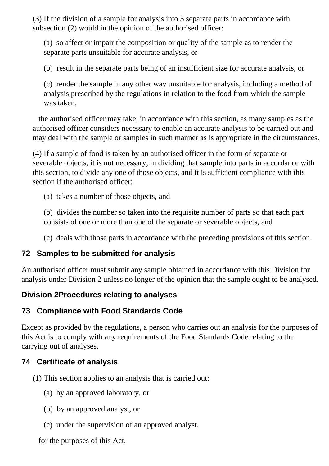(3) If the division of a sample for analysis into 3 separate parts in accordance with subsection (2) would in the opinion of the authorised officer:

(a) so affect or impair the composition or quality of the sample as to render the separate parts unsuitable for accurate analysis, or

(b) result in the separate parts being of an insufficient size for accurate analysis, or

(c) render the sample in any other way unsuitable for analysis, including a method of analysis prescribed by the regulations in relation to the food from which the sample was taken,

 the authorised officer may take, in accordance with this section, as many samples as the authorised officer considers necessary to enable an accurate analysis to be carried out and may deal with the sample or samples in such manner as is appropriate in the circumstances.

(4) If a sample of food is taken by an authorised officer in the form of separate or severable objects, it is not necessary, in dividing that sample into parts in accordance with this section, to divide any one of those objects, and it is sufficient compliance with this section if the authorised officer:

(a) takes a number of those objects, and

(b) divides the number so taken into the requisite number of parts so that each part consists of one or more than one of the separate or severable objects, and

(c) deals with those parts in accordance with the preceding provisions of this section.

#### **72 Samples to be submitted for analysis**

An authorised officer must submit any sample obtained in accordance with this Division for analysis under Division 2 unless no longer of the opinion that the sample ought to be analysed.

#### **Division 2Procedures relating to analyses**

#### **73 Compliance with Food Standards Code**

Except as provided by the regulations, a person who carries out an analysis for the purposes of this Act is to comply with any requirements of the Food Standards Code relating to the carrying out of analyses.

#### **74 Certificate of analysis**

- (1) This section applies to an analysis that is carried out:
	- (a) by an approved laboratory, or
	- (b) by an approved analyst, or
	- (c) under the supervision of an approved analyst,

for the purposes of this Act.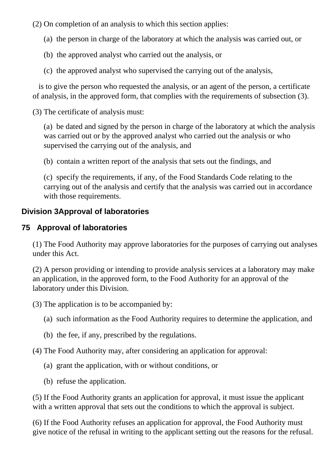(2) On completion of an analysis to which this section applies:

- (a) the person in charge of the laboratory at which the analysis was carried out, or
- (b) the approved analyst who carried out the analysis, or
- (c) the approved analyst who supervised the carrying out of the analysis,

 is to give the person who requested the analysis, or an agent of the person, a certificate of analysis, in the approved form, that complies with the requirements of subsection (3).

(3) The certificate of analysis must:

(a) be dated and signed by the person in charge of the laboratory at which the analysis was carried out or by the approved analyst who carried out the analysis or who supervised the carrying out of the analysis, and

(b) contain a written report of the analysis that sets out the findings, and

(c) specify the requirements, if any, of the Food Standards Code relating to the carrying out of the analysis and certify that the analysis was carried out in accordance with those requirements.

# **Division 3Approval of laboratories**

## **75 Approval of laboratories**

(1) The Food Authority may approve laboratories for the purposes of carrying out analyses under this Act.

(2) A person providing or intending to provide analysis services at a laboratory may make an application, in the approved form, to the Food Authority for an approval of the laboratory under this Division.

(3) The application is to be accompanied by:

- (a) such information as the Food Authority requires to determine the application, and
- (b) the fee, if any, prescribed by the regulations.

(4) The Food Authority may, after considering an application for approval:

- (a) grant the application, with or without conditions, or
- (b) refuse the application.

(5) If the Food Authority grants an application for approval, it must issue the applicant with a written approval that sets out the conditions to which the approval is subject.

(6) If the Food Authority refuses an application for approval, the Food Authority must give notice of the refusal in writing to the applicant setting out the reasons for the refusal.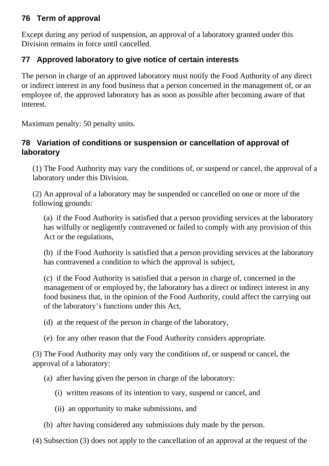### **76 Term of approval**

Except during any period of suspension, an approval of a laboratory granted under this Division remains in force until cancelled.

# **77 Approved laboratory to give notice of certain interests**

The person in charge of an approved laboratory must notify the Food Authority of any direct or indirect interest in any food business that a person concerned in the management of, or an employee of, the approved laboratory has as soon as possible after becoming aware of that interest.

Maximum penalty: 50 penalty units.

### **78 Variation of conditions or suspension or cancellation of approval of laboratory**

(1) The Food Authority may vary the conditions of, or suspend or cancel, the approval of a laboratory under this Division.

(2) An approval of a laboratory may be suspended or cancelled on one or more of the following grounds:

(a) if the Food Authority is satisfied that a person providing services at the laboratory has wilfully or negligently contravened or failed to comply with any provision of this Act or the regulations,

(b) if the Food Authority is satisfied that a person providing services at the laboratory has contravened a condition to which the approval is subject,

(c) if the Food Authority is satisfied that a person in charge of, concerned in the management of or employed by, the laboratory has a direct or indirect interest in any food business that, in the opinion of the Food Authority, could affect the carrying out of the laboratory's functions under this Act,

(d) at the request of the person in charge of the laboratory,

(e) for any other reason that the Food Authority considers appropriate.

(3) The Food Authority may only vary the conditions of, or suspend or cancel, the approval of a laboratory:

- (a) after having given the person in charge of the laboratory:
	- (i) written reasons of its intention to vary, suspend or cancel, and
	- (ii) an opportunity to make submissions, and
- (b) after having considered any submissions duly made by the person.

(4) Subsection (3) does not apply to the cancellation of an approval at the request of the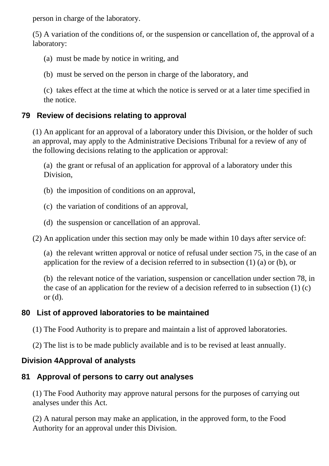person in charge of the laboratory.

(5) A variation of the conditions of, or the suspension or cancellation of, the approval of a laboratory:

- (a) must be made by notice in writing, and
- (b) must be served on the person in charge of the laboratory, and

(c) takes effect at the time at which the notice is served or at a later time specified in the notice.

### **79 Review of decisions relating to approval**

(1) An applicant for an approval of a laboratory under this Division, or the holder of such an approval, may apply to the Administrative Decisions Tribunal for a review of any of the following decisions relating to the application or approval:

(a) the grant or refusal of an application for approval of a laboratory under this Division,

- (b) the imposition of conditions on an approval,
- (c) the variation of conditions of an approval,
- (d) the suspension or cancellation of an approval.
- (2) An application under this section may only be made within 10 days after service of:

(a) the relevant written approval or notice of refusal under section 75, in the case of an application for the review of a decision referred to in subsection (1) (a) or (b), or

(b) the relevant notice of the variation, suspension or cancellation under section 78, in the case of an application for the review of a decision referred to in subsection (1) (c) or (d).

#### **80 List of approved laboratories to be maintained**

- (1) The Food Authority is to prepare and maintain a list of approved laboratories.
- (2) The list is to be made publicly available and is to be revised at least annually.

#### **Division 4Approval of analysts**

#### **81 Approval of persons to carry out analyses**

(1) The Food Authority may approve natural persons for the purposes of carrying out analyses under this Act.

(2) A natural person may make an application, in the approved form, to the Food Authority for an approval under this Division.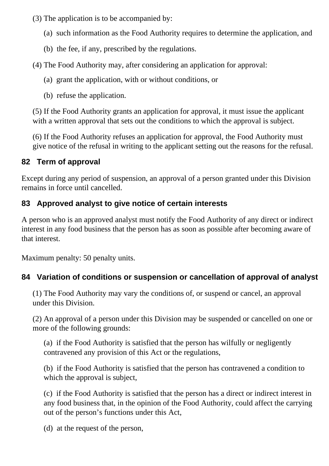- (3) The application is to be accompanied by:
	- (a) such information as the Food Authority requires to determine the application, and
	- (b) the fee, if any, prescribed by the regulations.
- (4) The Food Authority may, after considering an application for approval:
	- (a) grant the application, with or without conditions, or
	- (b) refuse the application.

(5) If the Food Authority grants an application for approval, it must issue the applicant with a written approval that sets out the conditions to which the approval is subject.

(6) If the Food Authority refuses an application for approval, the Food Authority must give notice of the refusal in writing to the applicant setting out the reasons for the refusal.

# **82 Term of approval**

Except during any period of suspension, an approval of a person granted under this Division remains in force until cancelled.

## **83 Approved analyst to give notice of certain interests**

A person who is an approved analyst must notify the Food Authority of any direct or indirect interest in any food business that the person has as soon as possible after becoming aware of that interest.

Maximum penalty: 50 penalty units.

## **84 Variation of conditions or suspension or cancellation of approval of analyst**

(1) The Food Authority may vary the conditions of, or suspend or cancel, an approval under this Division.

(2) An approval of a person under this Division may be suspended or cancelled on one or more of the following grounds:

(a) if the Food Authority is satisfied that the person has wilfully or negligently contravened any provision of this Act or the regulations,

(b) if the Food Authority is satisfied that the person has contravened a condition to which the approval is subject,

(c) if the Food Authority is satisfied that the person has a direct or indirect interest in any food business that, in the opinion of the Food Authority, could affect the carrying out of the person's functions under this Act,

(d) at the request of the person,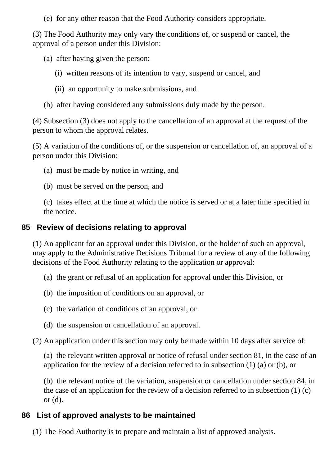(e) for any other reason that the Food Authority considers appropriate.

(3) The Food Authority may only vary the conditions of, or suspend or cancel, the approval of a person under this Division:

- (a) after having given the person:
	- (i) written reasons of its intention to vary, suspend or cancel, and
	- (ii) an opportunity to make submissions, and
- (b) after having considered any submissions duly made by the person.

(4) Subsection (3) does not apply to the cancellation of an approval at the request of the person to whom the approval relates.

(5) A variation of the conditions of, or the suspension or cancellation of, an approval of a person under this Division:

- (a) must be made by notice in writing, and
- (b) must be served on the person, and

(c) takes effect at the time at which the notice is served or at a later time specified in the notice.

### **85 Review of decisions relating to approval**

(1) An applicant for an approval under this Division, or the holder of such an approval, may apply to the Administrative Decisions Tribunal for a review of any of the following decisions of the Food Authority relating to the application or approval:

- (a) the grant or refusal of an application for approval under this Division, or
- (b) the imposition of conditions on an approval, or
- (c) the variation of conditions of an approval, or
- (d) the suspension or cancellation of an approval.

(2) An application under this section may only be made within 10 days after service of:

(a) the relevant written approval or notice of refusal under section 81, in the case of an application for the review of a decision referred to in subsection (1) (a) or (b), or

(b) the relevant notice of the variation, suspension or cancellation under section 84, in the case of an application for the review of a decision referred to in subsection (1) (c) or (d).

# **86 List of approved analysts to be maintained**

(1) The Food Authority is to prepare and maintain a list of approved analysts.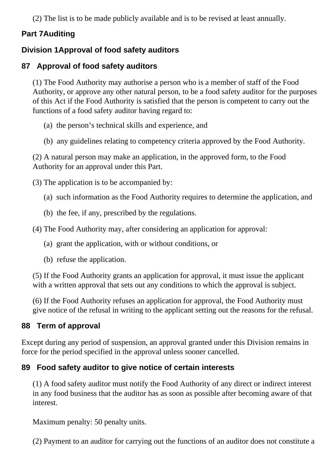(2) The list is to be made publicly available and is to be revised at least annually.

## **Part 7Auditing**

# **Division 1Approval of food safety auditors**

## **87 Approval of food safety auditors**

(1) The Food Authority may authorise a person who is a member of staff of the Food Authority, or approve any other natural person, to be a food safety auditor for the purposes of this Act if the Food Authority is satisfied that the person is competent to carry out the functions of a food safety auditor having regard to:

- (a) the person's technical skills and experience, and
- (b) any guidelines relating to competency criteria approved by the Food Authority.

(2) A natural person may make an application, in the approved form, to the Food Authority for an approval under this Part.

- (3) The application is to be accompanied by:
	- (a) such information as the Food Authority requires to determine the application, and
	- (b) the fee, if any, prescribed by the regulations.
- (4) The Food Authority may, after considering an application for approval:
	- (a) grant the application, with or without conditions, or
	- (b) refuse the application.

(5) If the Food Authority grants an application for approval, it must issue the applicant with a written approval that sets out any conditions to which the approval is subject.

(6) If the Food Authority refuses an application for approval, the Food Authority must give notice of the refusal in writing to the applicant setting out the reasons for the refusal.

### **88 Term of approval**

Except during any period of suspension, an approval granted under this Division remains in force for the period specified in the approval unless sooner cancelled.

### **89 Food safety auditor to give notice of certain interests**

(1) A food safety auditor must notify the Food Authority of any direct or indirect interest in any food business that the auditor has as soon as possible after becoming aware of that interest.

Maximum penalty: 50 penalty units.

(2) Payment to an auditor for carrying out the functions of an auditor does not constitute a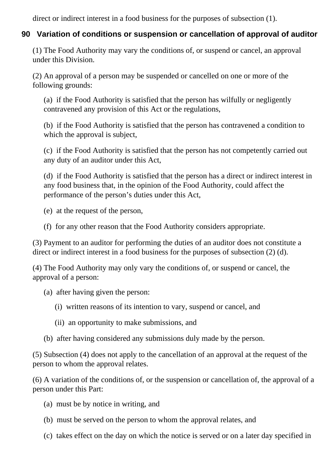direct or indirect interest in a food business for the purposes of subsection (1).

### **90 Variation of conditions or suspension or cancellation of approval of auditor**

(1) The Food Authority may vary the conditions of, or suspend or cancel, an approval under this Division.

(2) An approval of a person may be suspended or cancelled on one or more of the following grounds:

(a) if the Food Authority is satisfied that the person has wilfully or negligently contravened any provision of this Act or the regulations,

(b) if the Food Authority is satisfied that the person has contravened a condition to which the approval is subject,

(c) if the Food Authority is satisfied that the person has not competently carried out any duty of an auditor under this Act,

(d) if the Food Authority is satisfied that the person has a direct or indirect interest in any food business that, in the opinion of the Food Authority, could affect the performance of the person's duties under this Act,

- (e) at the request of the person,
- (f) for any other reason that the Food Authority considers appropriate.

(3) Payment to an auditor for performing the duties of an auditor does not constitute a direct or indirect interest in a food business for the purposes of subsection (2) (d).

(4) The Food Authority may only vary the conditions of, or suspend or cancel, the approval of a person:

- (a) after having given the person:
	- (i) written reasons of its intention to vary, suspend or cancel, and
	- (ii) an opportunity to make submissions, and
- (b) after having considered any submissions duly made by the person.

(5) Subsection (4) does not apply to the cancellation of an approval at the request of the person to whom the approval relates.

(6) A variation of the conditions of, or the suspension or cancellation of, the approval of a person under this Part:

- (a) must be by notice in writing, and
- (b) must be served on the person to whom the approval relates, and
- (c) takes effect on the day on which the notice is served or on a later day specified in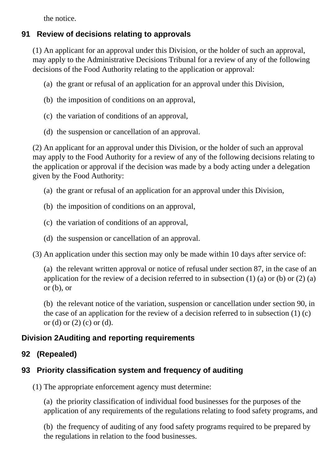the notice.

# **91 Review of decisions relating to approvals**

(1) An applicant for an approval under this Division, or the holder of such an approval, may apply to the Administrative Decisions Tribunal for a review of any of the following decisions of the Food Authority relating to the application or approval:

- (a) the grant or refusal of an application for an approval under this Division,
- (b) the imposition of conditions on an approval,
- (c) the variation of conditions of an approval,
- (d) the suspension or cancellation of an approval.

(2) An applicant for an approval under this Division, or the holder of such an approval may apply to the Food Authority for a review of any of the following decisions relating to the application or approval if the decision was made by a body acting under a delegation given by the Food Authority:

- (a) the grant or refusal of an application for an approval under this Division,
- (b) the imposition of conditions on an approval,
- (c) the variation of conditions of an approval,
- (d) the suspension or cancellation of an approval.

(3) An application under this section may only be made within 10 days after service of:

(a) the relevant written approval or notice of refusal under section 87, in the case of an application for the review of a decision referred to in subsection  $(1)$  (a) or  $(b)$  or  $(2)$  (a) or (b), or

(b) the relevant notice of the variation, suspension or cancellation under section 90, in the case of an application for the review of a decision referred to in subsection (1) (c) or (d) or  $(2)$  (c) or (d).

# **Division 2Auditing and reporting requirements**

# **92 (Repealed)**

# **93 Priority classification system and frequency of auditing**

(1) The appropriate enforcement agency must determine:

(a) the priority classification of individual food businesses for the purposes of the application of any requirements of the regulations relating to food safety programs, and

(b) the frequency of auditing of any food safety programs required to be prepared by the regulations in relation to the food businesses.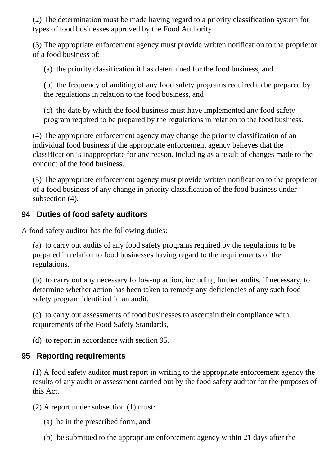(2) The determination must be made having regard to a priority classification system for types of food businesses approved by the Food Authority.

(3) The appropriate enforcement agency must provide written notification to the proprietor of a food business of:

(a) the priority classification it has determined for the food business, and

(b) the frequency of auditing of any food safety programs required to be prepared by the regulations in relation to the food business, and

(c) the date by which the food business must have implemented any food safety program required to be prepared by the regulations in relation to the food business.

(4) The appropriate enforcement agency may change the priority classification of an individual food business if the appropriate enforcement agency believes that the classification is inappropriate for any reason, including as a result of changes made to the conduct of the food business.

(5) The appropriate enforcement agency must provide written notification to the proprietor of a food business of any change in priority classification of the food business under subsection (4).

### **94 Duties of food safety auditors**

A food safety auditor has the following duties:

(a) to carry out audits of any food safety programs required by the regulations to be prepared in relation to food businesses having regard to the requirements of the regulations,

(b) to carry out any necessary follow-up action, including further audits, if necessary, to determine whether action has been taken to remedy any deficiencies of any such food safety program identified in an audit,

(c) to carry out assessments of food businesses to ascertain their compliance with requirements of the Food Safety Standards,

(d) to report in accordance with section 95.

### **95 Reporting requirements**

(1) A food safety auditor must report in writing to the appropriate enforcement agency the results of any audit or assessment carried out by the food safety auditor for the purposes of this Act.

(2) A report under subsection (1) must:

- (a) be in the prescribed form, and
- (b) be submitted to the appropriate enforcement agency within 21 days after the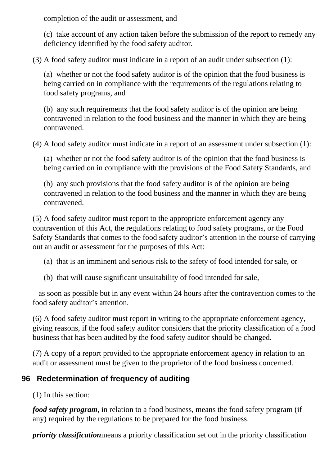completion of the audit or assessment, and

(c) take account of any action taken before the submission of the report to remedy any deficiency identified by the food safety auditor.

(3) A food safety auditor must indicate in a report of an audit under subsection (1):

(a) whether or not the food safety auditor is of the opinion that the food business is being carried on in compliance with the requirements of the regulations relating to food safety programs, and

(b) any such requirements that the food safety auditor is of the opinion are being contravened in relation to the food business and the manner in which they are being contravened.

(4) A food safety auditor must indicate in a report of an assessment under subsection (1):

(a) whether or not the food safety auditor is of the opinion that the food business is being carried on in compliance with the provisions of the Food Safety Standards, and

(b) any such provisions that the food safety auditor is of the opinion are being contravened in relation to the food business and the manner in which they are being contravened.

(5) A food safety auditor must report to the appropriate enforcement agency any contravention of this Act, the regulations relating to food safety programs, or the Food Safety Standards that comes to the food safety auditor's attention in the course of carrying out an audit or assessment for the purposes of this Act:

- (a) that is an imminent and serious risk to the safety of food intended for sale, or
- (b) that will cause significant unsuitability of food intended for sale,

 as soon as possible but in any event within 24 hours after the contravention comes to the food safety auditor's attention.

(6) A food safety auditor must report in writing to the appropriate enforcement agency, giving reasons, if the food safety auditor considers that the priority classification of a food business that has been audited by the food safety auditor should be changed.

(7) A copy of a report provided to the appropriate enforcement agency in relation to an audit or assessment must be given to the proprietor of the food business concerned.

### **96 Redetermination of frequency of auditing**

(1) In this section:

*food safety program*, in relation to a food business, means the food safety program (if any) required by the regulations to be prepared for the food business.

*priority classification*means a priority classification set out in the priority classification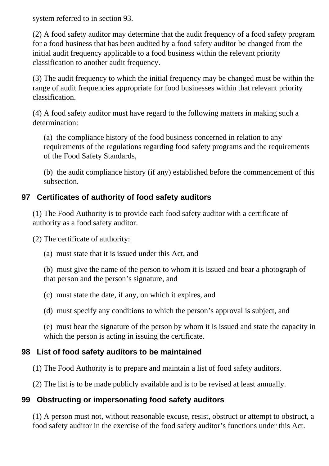system referred to in section 93.

(2) A food safety auditor may determine that the audit frequency of a food safety program for a food business that has been audited by a food safety auditor be changed from the initial audit frequency applicable to a food business within the relevant priority classification to another audit frequency.

(3) The audit frequency to which the initial frequency may be changed must be within the range of audit frequencies appropriate for food businesses within that relevant priority classification.

(4) A food safety auditor must have regard to the following matters in making such a determination:

(a) the compliance history of the food business concerned in relation to any requirements of the regulations regarding food safety programs and the requirements of the Food Safety Standards,

(b) the audit compliance history (if any) established before the commencement of this subsection.

### **97 Certificates of authority of food safety auditors**

(1) The Food Authority is to provide each food safety auditor with a certificate of authority as a food safety auditor.

(2) The certificate of authority:

(a) must state that it is issued under this Act, and

(b) must give the name of the person to whom it is issued and bear a photograph of that person and the person's signature, and

- (c) must state the date, if any, on which it expires, and
- (d) must specify any conditions to which the person's approval is subject, and

(e) must bear the signature of the person by whom it is issued and state the capacity in which the person is acting in issuing the certificate.

### **98 List of food safety auditors to be maintained**

(1) The Food Authority is to prepare and maintain a list of food safety auditors.

(2) The list is to be made publicly available and is to be revised at least annually.

### **99 Obstructing or impersonating food safety auditors**

(1) A person must not, without reasonable excuse, resist, obstruct or attempt to obstruct, a food safety auditor in the exercise of the food safety auditor's functions under this Act.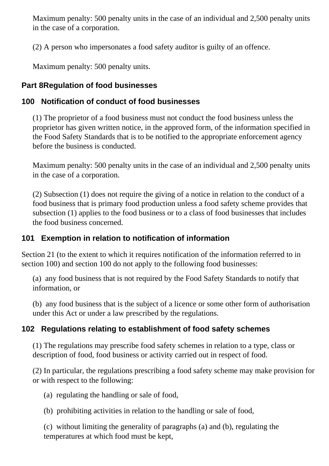Maximum penalty: 500 penalty units in the case of an individual and 2,500 penalty units in the case of a corporation.

(2) A person who impersonates a food safety auditor is guilty of an offence.

Maximum penalty: 500 penalty units.

# **Part 8Regulation of food businesses**

# **100 Notification of conduct of food businesses**

(1) The proprietor of a food business must not conduct the food business unless the proprietor has given written notice, in the approved form, of the information specified in the Food Safety Standards that is to be notified to the appropriate enforcement agency before the business is conducted.

Maximum penalty: 500 penalty units in the case of an individual and 2,500 penalty units in the case of a corporation.

(2) Subsection (1) does not require the giving of a notice in relation to the conduct of a food business that is primary food production unless a food safety scheme provides that subsection (1) applies to the food business or to a class of food businesses that includes the food business concerned.

# **101 Exemption in relation to notification of information**

Section 21 (to the extent to which it requires notification of the information referred to in section 100) and section 100 do not apply to the following food businesses:

(a) any food business that is not required by the Food Safety Standards to notify that information, or

(b) any food business that is the subject of a licence or some other form of authorisation under this Act or under a law prescribed by the regulations.

# **102 Regulations relating to establishment of food safety schemes**

(1) The regulations may prescribe food safety schemes in relation to a type, class or description of food, food business or activity carried out in respect of food.

(2) In particular, the regulations prescribing a food safety scheme may make provision for or with respect to the following:

(a) regulating the handling or sale of food,

(b) prohibiting activities in relation to the handling or sale of food,

(c) without limiting the generality of paragraphs (a) and (b), regulating the temperatures at which food must be kept,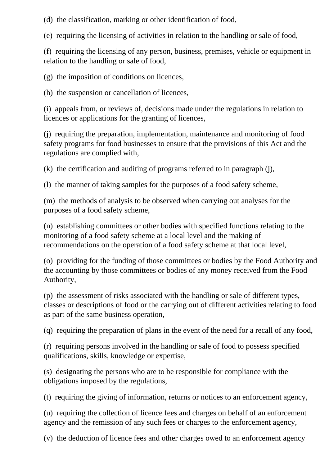(d) the classification, marking or other identification of food,

(e) requiring the licensing of activities in relation to the handling or sale of food,

(f) requiring the licensing of any person, business, premises, vehicle or equipment in relation to the handling or sale of food,

(g) the imposition of conditions on licences,

(h) the suspension or cancellation of licences,

(i) appeals from, or reviews of, decisions made under the regulations in relation to licences or applications for the granting of licences,

(j) requiring the preparation, implementation, maintenance and monitoring of food safety programs for food businesses to ensure that the provisions of this Act and the regulations are complied with,

(k) the certification and auditing of programs referred to in paragraph (j),

(l) the manner of taking samples for the purposes of a food safety scheme,

(m) the methods of analysis to be observed when carrying out analyses for the purposes of a food safety scheme,

(n) establishing committees or other bodies with specified functions relating to the monitoring of a food safety scheme at a local level and the making of recommendations on the operation of a food safety scheme at that local level,

(o) providing for the funding of those committees or bodies by the Food Authority and the accounting by those committees or bodies of any money received from the Food Authority,

(p) the assessment of risks associated with the handling or sale of different types, classes or descriptions of food or the carrying out of different activities relating to food as part of the same business operation,

(q) requiring the preparation of plans in the event of the need for a recall of any food,

(r) requiring persons involved in the handling or sale of food to possess specified qualifications, skills, knowledge or expertise,

(s) designating the persons who are to be responsible for compliance with the obligations imposed by the regulations,

(t) requiring the giving of information, returns or notices to an enforcement agency,

(u) requiring the collection of licence fees and charges on behalf of an enforcement agency and the remission of any such fees or charges to the enforcement agency,

(v) the deduction of licence fees and other charges owed to an enforcement agency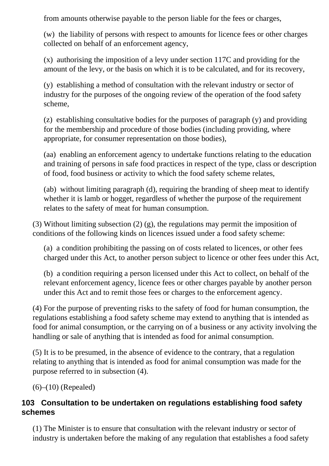from amounts otherwise payable to the person liable for the fees or charges,

(w) the liability of persons with respect to amounts for licence fees or other charges collected on behalf of an enforcement agency,

(x) authorising the imposition of a levy under section 117C and providing for the amount of the levy, or the basis on which it is to be calculated, and for its recovery,

(y) establishing a method of consultation with the relevant industry or sector of industry for the purposes of the ongoing review of the operation of the food safety scheme,

(z) establishing consultative bodies for the purposes of paragraph (y) and providing for the membership and procedure of those bodies (including providing, where appropriate, for consumer representation on those bodies),

(aa) enabling an enforcement agency to undertake functions relating to the education and training of persons in safe food practices in respect of the type, class or description of food, food business or activity to which the food safety scheme relates,

(ab) without limiting paragraph (d), requiring the branding of sheep meat to identify whether it is lamb or hogget, regardless of whether the purpose of the requirement relates to the safety of meat for human consumption.

(3) Without limiting subsection (2) (g), the regulations may permit the imposition of conditions of the following kinds on licences issued under a food safety scheme:

(a) a condition prohibiting the passing on of costs related to licences, or other fees charged under this Act, to another person subject to licence or other fees under this Act,

(b) a condition requiring a person licensed under this Act to collect, on behalf of the relevant enforcement agency, licence fees or other charges payable by another person under this Act and to remit those fees or charges to the enforcement agency.

(4) For the purpose of preventing risks to the safety of food for human consumption, the regulations establishing a food safety scheme may extend to anything that is intended as food for animal consumption, or the carrying on of a business or any activity involving the handling or sale of anything that is intended as food for animal consumption.

(5) It is to be presumed, in the absence of evidence to the contrary, that a regulation relating to anything that is intended as food for animal consumption was made for the purpose referred to in subsection (4).

 $(6)–(10)$  (Repealed)

### **103 Consultation to be undertaken on regulations establishing food safety schemes**

(1) The Minister is to ensure that consultation with the relevant industry or sector of industry is undertaken before the making of any regulation that establishes a food safety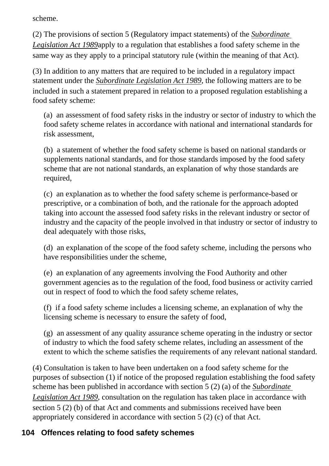scheme.

(2) The provisions of section 5 (Regulatory impact statements) of the *[Subordinate](http://www.legislation.nsw.gov.au/xref/inforce/?xref=Type%3Dact%20AND%20Year%3D1989%20AND%20no%3D146&nohits=y)  [Legislation Act 1989](http://www.legislation.nsw.gov.au/xref/inforce/?xref=Type%3Dact%20AND%20Year%3D1989%20AND%20no%3D146&nohits=y)*apply to a regulation that establishes a food safety scheme in the same way as they apply to a principal statutory rule (within the meaning of that Act).

(3) In addition to any matters that are required to be included in a regulatory impact statement under the *[Subordinate Legislation Act 1989](http://www.legislation.nsw.gov.au/xref/inforce/?xref=Type%3Dact%20AND%20Year%3D1989%20AND%20no%3D146&nohits=y)*, the following matters are to be included in such a statement prepared in relation to a proposed regulation establishing a food safety scheme:

(a) an assessment of food safety risks in the industry or sector of industry to which the food safety scheme relates in accordance with national and international standards for risk assessment,

(b) a statement of whether the food safety scheme is based on national standards or supplements national standards, and for those standards imposed by the food safety scheme that are not national standards, an explanation of why those standards are required,

(c) an explanation as to whether the food safety scheme is performance-based or prescriptive, or a combination of both, and the rationale for the approach adopted taking into account the assessed food safety risks in the relevant industry or sector of industry and the capacity of the people involved in that industry or sector of industry to deal adequately with those risks,

(d) an explanation of the scope of the food safety scheme, including the persons who have responsibilities under the scheme,

(e) an explanation of any agreements involving the Food Authority and other government agencies as to the regulation of the food, food business or activity carried out in respect of food to which the food safety scheme relates,

(f) if a food safety scheme includes a licensing scheme, an explanation of why the licensing scheme is necessary to ensure the safety of food,

(g) an assessment of any quality assurance scheme operating in the industry or sector of industry to which the food safety scheme relates, including an assessment of the extent to which the scheme satisfies the requirements of any relevant national standard.

(4) Consultation is taken to have been undertaken on a food safety scheme for the purposes of subsection (1) if notice of the proposed regulation establishing the food safety scheme has been published in accordance with section 5 (2) (a) of the *[Subordinate](http://www.legislation.nsw.gov.au/xref/inforce/?xref=Type%3Dact%20AND%20Year%3D1989%20AND%20no%3D146&nohits=y) [Legislation Act 1989](http://www.legislation.nsw.gov.au/xref/inforce/?xref=Type%3Dact%20AND%20Year%3D1989%20AND%20no%3D146&nohits=y)*, consultation on the regulation has taken place in accordance with section 5 (2) (b) of that Act and comments and submissions received have been appropriately considered in accordance with section 5 (2) (c) of that Act.

# **104 Offences relating to food safety schemes**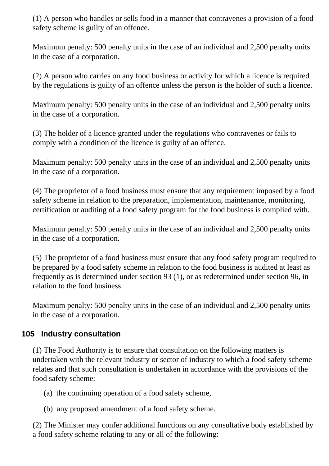(1) A person who handles or sells food in a manner that contravenes a provision of a food safety scheme is guilty of an offence.

Maximum penalty: 500 penalty units in the case of an individual and 2,500 penalty units in the case of a corporation.

(2) A person who carries on any food business or activity for which a licence is required by the regulations is guilty of an offence unless the person is the holder of such a licence.

Maximum penalty: 500 penalty units in the case of an individual and 2,500 penalty units in the case of a corporation.

(3) The holder of a licence granted under the regulations who contravenes or fails to comply with a condition of the licence is guilty of an offence.

Maximum penalty: 500 penalty units in the case of an individual and 2,500 penalty units in the case of a corporation.

(4) The proprietor of a food business must ensure that any requirement imposed by a food safety scheme in relation to the preparation, implementation, maintenance, monitoring, certification or auditing of a food safety program for the food business is complied with.

Maximum penalty: 500 penalty units in the case of an individual and 2,500 penalty units in the case of a corporation.

(5) The proprietor of a food business must ensure that any food safety program required to be prepared by a food safety scheme in relation to the food business is audited at least as frequently as is determined under section 93 (1), or as redetermined under section 96, in relation to the food business.

Maximum penalty: 500 penalty units in the case of an individual and 2,500 penalty units in the case of a corporation.

### **105 Industry consultation**

(1) The Food Authority is to ensure that consultation on the following matters is undertaken with the relevant industry or sector of industry to which a food safety scheme relates and that such consultation is undertaken in accordance with the provisions of the food safety scheme:

- (a) the continuing operation of a food safety scheme,
- (b) any proposed amendment of a food safety scheme.

(2) The Minister may confer additional functions on any consultative body established by a food safety scheme relating to any or all of the following: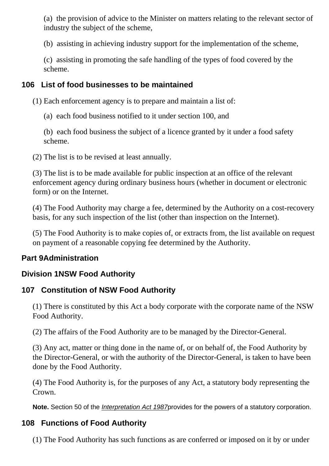(a) the provision of advice to the Minister on matters relating to the relevant sector of industry the subject of the scheme,

(b) assisting in achieving industry support for the implementation of the scheme,

(c) assisting in promoting the safe handling of the types of food covered by the scheme.

### **106 List of food businesses to be maintained**

(1) Each enforcement agency is to prepare and maintain a list of:

(a) each food business notified to it under section 100, and

(b) each food business the subject of a licence granted by it under a food safety scheme.

(2) The list is to be revised at least annually.

(3) The list is to be made available for public inspection at an office of the relevant enforcement agency during ordinary business hours (whether in document or electronic form) or on the Internet.

(4) The Food Authority may charge a fee, determined by the Authority on a cost-recovery basis, for any such inspection of the list (other than inspection on the Internet).

(5) The Food Authority is to make copies of, or extracts from, the list available on request on payment of a reasonable copying fee determined by the Authority.

### **Part 9Administration**

### **Division 1NSW Food Authority**

### **107 Constitution of NSW Food Authority**

(1) There is constituted by this Act a body corporate with the corporate name of the NSW Food Authority.

(2) The affairs of the Food Authority are to be managed by the Director-General.

(3) Any act, matter or thing done in the name of, or on behalf of, the Food Authority by the Director-General, or with the authority of the Director-General, is taken to have been done by the Food Authority.

(4) The Food Authority is, for the purposes of any Act, a statutory body representing the Crown.

**Note.** Section 50 of the *[Interpretation Act 1987](http://www.legislation.nsw.gov.au/xref/inforce/?xref=Type%3Dact%20AND%20Year%3D1987%20AND%20no%3D15&nohits=y)*provides for the powers of a statutory corporation.

### **108 Functions of Food Authority**

(1) The Food Authority has such functions as are conferred or imposed on it by or under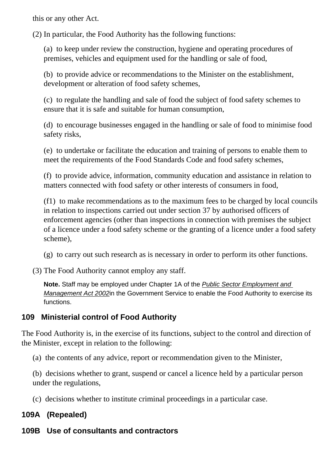this or any other Act.

(2) In particular, the Food Authority has the following functions:

(a) to keep under review the construction, hygiene and operating procedures of premises, vehicles and equipment used for the handling or sale of food,

(b) to provide advice or recommendations to the Minister on the establishment, development or alteration of food safety schemes,

(c) to regulate the handling and sale of food the subject of food safety schemes to ensure that it is safe and suitable for human consumption,

(d) to encourage businesses engaged in the handling or sale of food to minimise food safety risks,

(e) to undertake or facilitate the education and training of persons to enable them to meet the requirements of the Food Standards Code and food safety schemes,

(f) to provide advice, information, community education and assistance in relation to matters connected with food safety or other interests of consumers in food,

(f1) to make recommendations as to the maximum fees to be charged by local councils in relation to inspections carried out under section 37 by authorised officers of enforcement agencies (other than inspections in connection with premises the subject of a licence under a food safety scheme or the granting of a licence under a food safety scheme),

- (g) to carry out such research as is necessary in order to perform its other functions.
- (3) The Food Authority cannot employ any staff.

**Note.** Staff may be employed under Chapter 1A of the *[Public Sector Employment and](http://www.legislation.nsw.gov.au/xref/inforce/?xref=Type%3Dact%20AND%20Year%3D2002%20AND%20no%3D43&nohits=y)  [Management Act 2002](http://www.legislation.nsw.gov.au/xref/inforce/?xref=Type%3Dact%20AND%20Year%3D2002%20AND%20no%3D43&nohits=y)*in the Government Service to enable the Food Authority to exercise its functions.

### **109 Ministerial control of Food Authority**

The Food Authority is, in the exercise of its functions, subject to the control and direction of the Minister, except in relation to the following:

(a) the contents of any advice, report or recommendation given to the Minister,

(b) decisions whether to grant, suspend or cancel a licence held by a particular person under the regulations,

(c) decisions whether to institute criminal proceedings in a particular case.

### **109A (Repealed)**

### **109B Use of consultants and contractors**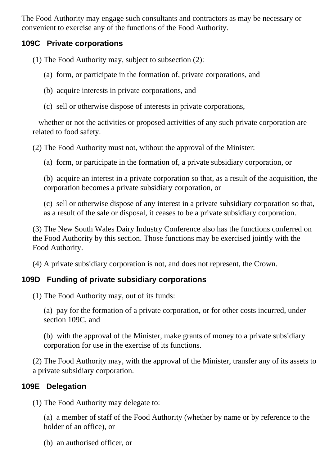The Food Authority may engage such consultants and contractors as may be necessary or convenient to exercise any of the functions of the Food Authority.

#### **109C Private corporations**

(1) The Food Authority may, subject to subsection (2):

- (a) form, or participate in the formation of, private corporations, and
- (b) acquire interests in private corporations, and
- (c) sell or otherwise dispose of interests in private corporations,

whether or not the activities or proposed activities of any such private corporation are related to food safety.

(2) The Food Authority must not, without the approval of the Minister:

(a) form, or participate in the formation of, a private subsidiary corporation, or

(b) acquire an interest in a private corporation so that, as a result of the acquisition, the corporation becomes a private subsidiary corporation, or

(c) sell or otherwise dispose of any interest in a private subsidiary corporation so that, as a result of the sale or disposal, it ceases to be a private subsidiary corporation.

(3) The New South Wales Dairy Industry Conference also has the functions conferred on the Food Authority by this section. Those functions may be exercised jointly with the Food Authority.

(4) A private subsidiary corporation is not, and does not represent, the Crown.

### **109D Funding of private subsidiary corporations**

(1) The Food Authority may, out of its funds:

(a) pay for the formation of a private corporation, or for other costs incurred, under section 109C, and

(b) with the approval of the Minister, make grants of money to a private subsidiary corporation for use in the exercise of its functions.

(2) The Food Authority may, with the approval of the Minister, transfer any of its assets to a private subsidiary corporation.

### **109E Delegation**

(1) The Food Authority may delegate to:

(a) a member of staff of the Food Authority (whether by name or by reference to the holder of an office), or

(b) an authorised officer, or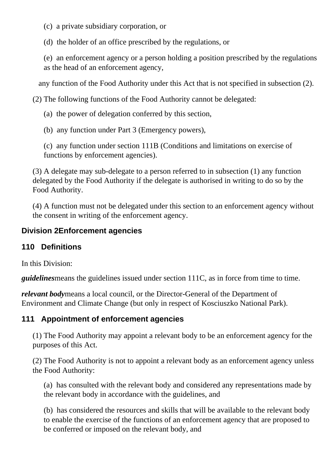(c) a private subsidiary corporation, or

(d) the holder of an office prescribed by the regulations, or

(e) an enforcement agency or a person holding a position prescribed by the regulations as the head of an enforcement agency,

any function of the Food Authority under this Act that is not specified in subsection (2).

(2) The following functions of the Food Authority cannot be delegated:

(a) the power of delegation conferred by this section,

(b) any function under Part 3 (Emergency powers),

(c) any function under section 111B (Conditions and limitations on exercise of functions by enforcement agencies).

(3) A delegate may sub-delegate to a person referred to in subsection (1) any function delegated by the Food Authority if the delegate is authorised in writing to do so by the Food Authority.

(4) A function must not be delegated under this section to an enforcement agency without the consent in writing of the enforcement agency.

#### **Division 2Enforcement agencies**

### **110 Definitions**

In this Division:

*guidelines*means the guidelines issued under section 111C, as in force from time to time.

*relevant body*means a local council, or the Director-General of the Department of Environment and Climate Change (but only in respect of Kosciuszko National Park).

#### **111 Appointment of enforcement agencies**

(1) The Food Authority may appoint a relevant body to be an enforcement agency for the purposes of this Act.

(2) The Food Authority is not to appoint a relevant body as an enforcement agency unless the Food Authority:

(a) has consulted with the relevant body and considered any representations made by the relevant body in accordance with the guidelines, and

(b) has considered the resources and skills that will be available to the relevant body to enable the exercise of the functions of an enforcement agency that are proposed to be conferred or imposed on the relevant body, and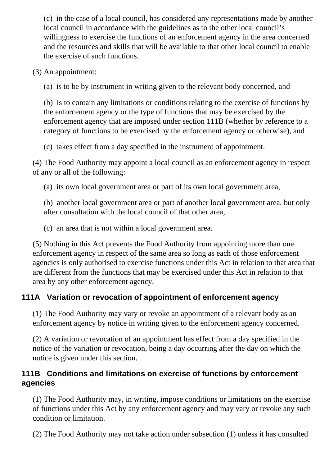(c) in the case of a local council, has considered any representations made by another local council in accordance with the guidelines as to the other local council's willingness to exercise the functions of an enforcement agency in the area concerned and the resources and skills that will be available to that other local council to enable the exercise of such functions.

(3) An appointment:

(a) is to be by instrument in writing given to the relevant body concerned, and

(b) is to contain any limitations or conditions relating to the exercise of functions by the enforcement agency or the type of functions that may be exercised by the enforcement agency that are imposed under section 111B (whether by reference to a category of functions to be exercised by the enforcement agency or otherwise), and

(c) takes effect from a day specified in the instrument of appointment.

(4) The Food Authority may appoint a local council as an enforcement agency in respect of any or all of the following:

(a) its own local government area or part of its own local government area,

(b) another local government area or part of another local government area, but only after consultation with the local council of that other area,

(c) an area that is not within a local government area.

(5) Nothing in this Act prevents the Food Authority from appointing more than one enforcement agency in respect of the same area so long as each of those enforcement agencies is only authorised to exercise functions under this Act in relation to that area that are different from the functions that may be exercised under this Act in relation to that area by any other enforcement agency.

### **111A Variation or revocation of appointment of enforcement agency**

(1) The Food Authority may vary or revoke an appointment of a relevant body as an enforcement agency by notice in writing given to the enforcement agency concerned.

(2) A variation or revocation of an appointment has effect from a day specified in the notice of the variation or revocation, being a day occurring after the day on which the notice is given under this section.

### **111B Conditions and limitations on exercise of functions by enforcement agencies**

(1) The Food Authority may, in writing, impose conditions or limitations on the exercise of functions under this Act by any enforcement agency and may vary or revoke any such condition or limitation.

(2) The Food Authority may not take action under subsection (1) unless it has consulted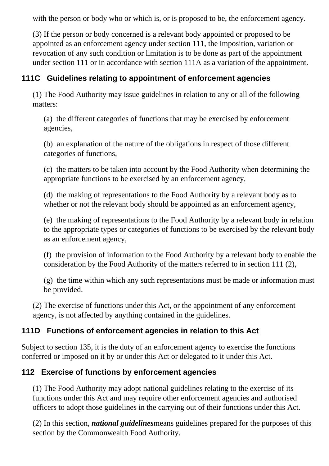with the person or body who or which is, or is proposed to be, the enforcement agency.

(3) If the person or body concerned is a relevant body appointed or proposed to be appointed as an enforcement agency under section 111, the imposition, variation or revocation of any such condition or limitation is to be done as part of the appointment under section 111 or in accordance with section 111A as a variation of the appointment.

#### **111C Guidelines relating to appointment of enforcement agencies**

(1) The Food Authority may issue guidelines in relation to any or all of the following matters:

(a) the different categories of functions that may be exercised by enforcement agencies,

(b) an explanation of the nature of the obligations in respect of those different categories of functions,

(c) the matters to be taken into account by the Food Authority when determining the appropriate functions to be exercised by an enforcement agency,

(d) the making of representations to the Food Authority by a relevant body as to whether or not the relevant body should be appointed as an enforcement agency,

(e) the making of representations to the Food Authority by a relevant body in relation to the appropriate types or categories of functions to be exercised by the relevant body as an enforcement agency,

(f) the provision of information to the Food Authority by a relevant body to enable the consideration by the Food Authority of the matters referred to in section 111 (2),

(g) the time within which any such representations must be made or information must be provided.

(2) The exercise of functions under this Act, or the appointment of any enforcement agency, is not affected by anything contained in the guidelines.

### **111D Functions of enforcement agencies in relation to this Act**

Subject to section 135, it is the duty of an enforcement agency to exercise the functions conferred or imposed on it by or under this Act or delegated to it under this Act.

#### **112 Exercise of functions by enforcement agencies**

(1) The Food Authority may adopt national guidelines relating to the exercise of its functions under this Act and may require other enforcement agencies and authorised officers to adopt those guidelines in the carrying out of their functions under this Act.

(2) In this section, *national guidelines*means guidelines prepared for the purposes of this section by the Commonwealth Food Authority.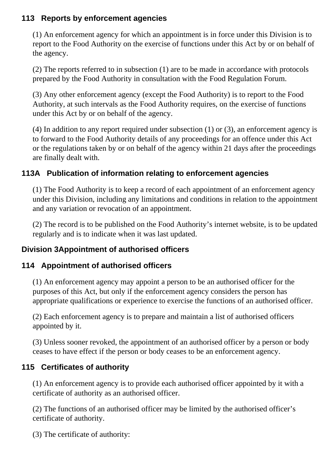### **113 Reports by enforcement agencies**

(1) An enforcement agency for which an appointment is in force under this Division is to report to the Food Authority on the exercise of functions under this Act by or on behalf of the agency.

(2) The reports referred to in subsection (1) are to be made in accordance with protocols prepared by the Food Authority in consultation with the Food Regulation Forum.

(3) Any other enforcement agency (except the Food Authority) is to report to the Food Authority, at such intervals as the Food Authority requires, on the exercise of functions under this Act by or on behalf of the agency.

(4) In addition to any report required under subsection (1) or (3), an enforcement agency is to forward to the Food Authority details of any proceedings for an offence under this Act or the regulations taken by or on behalf of the agency within 21 days after the proceedings are finally dealt with.

### **113A Publication of information relating to enforcement agencies**

(1) The Food Authority is to keep a record of each appointment of an enforcement agency under this Division, including any limitations and conditions in relation to the appointment and any variation or revocation of an appointment.

(2) The record is to be published on the Food Authority's internet website, is to be updated regularly and is to indicate when it was last updated.

### **Division 3Appointment of authorised officers**

### **114 Appointment of authorised officers**

(1) An enforcement agency may appoint a person to be an authorised officer for the purposes of this Act, but only if the enforcement agency considers the person has appropriate qualifications or experience to exercise the functions of an authorised officer.

(2) Each enforcement agency is to prepare and maintain a list of authorised officers appointed by it.

(3) Unless sooner revoked, the appointment of an authorised officer by a person or body ceases to have effect if the person or body ceases to be an enforcement agency.

### **115 Certificates of authority**

(1) An enforcement agency is to provide each authorised officer appointed by it with a certificate of authority as an authorised officer.

(2) The functions of an authorised officer may be limited by the authorised officer's certificate of authority.

(3) The certificate of authority: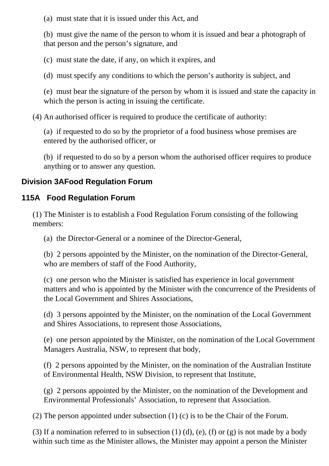(a) must state that it is issued under this Act, and

(b) must give the name of the person to whom it is issued and bear a photograph of that person and the person's signature, and

(c) must state the date, if any, on which it expires, and

(d) must specify any conditions to which the person's authority is subject, and

(e) must bear the signature of the person by whom it is issued and state the capacity in which the person is acting in issuing the certificate.

(4) An authorised officer is required to produce the certificate of authority:

(a) if requested to do so by the proprietor of a food business whose premises are entered by the authorised officer, or

(b) if requested to do so by a person whom the authorised officer requires to produce anything or to answer any question.

# **Division 3AFood Regulation Forum**

## **115A Food Regulation Forum**

(1) The Minister is to establish a Food Regulation Forum consisting of the following members:

(a) the Director-General or a nominee of the Director-General,

(b) 2 persons appointed by the Minister, on the nomination of the Director-General, who are members of staff of the Food Authority,

(c) one person who the Minister is satisfied has experience in local government matters and who is appointed by the Minister with the concurrence of the Presidents of the Local Government and Shires Associations,

(d) 3 persons appointed by the Minister, on the nomination of the Local Government and Shires Associations, to represent those Associations,

(e) one person appointed by the Minister, on the nomination of the Local Government Managers Australia, NSW, to represent that body,

(f) 2 persons appointed by the Minister, on the nomination of the Australian Institute of Environmental Health, NSW Division, to represent that Institute,

(g) 2 persons appointed by the Minister, on the nomination of the Development and Environmental Professionals' Association, to represent that Association.

(2) The person appointed under subsection (1) (c) is to be the Chair of the Forum.

(3) If a nomination referred to in subsection (1) (d), (e), (f) or (g) is not made by a body within such time as the Minister allows, the Minister may appoint a person the Minister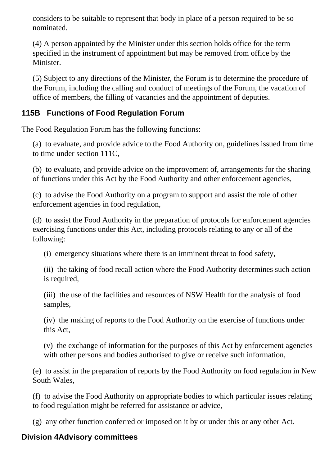considers to be suitable to represent that body in place of a person required to be so nominated.

(4) A person appointed by the Minister under this section holds office for the term specified in the instrument of appointment but may be removed from office by the Minister.

(5) Subject to any directions of the Minister, the Forum is to determine the procedure of the Forum, including the calling and conduct of meetings of the Forum, the vacation of office of members, the filling of vacancies and the appointment of deputies.

### **115B Functions of Food Regulation Forum**

The Food Regulation Forum has the following functions:

(a) to evaluate, and provide advice to the Food Authority on, guidelines issued from time to time under section 111C,

(b) to evaluate, and provide advice on the improvement of, arrangements for the sharing of functions under this Act by the Food Authority and other enforcement agencies,

(c) to advise the Food Authority on a program to support and assist the role of other enforcement agencies in food regulation,

(d) to assist the Food Authority in the preparation of protocols for enforcement agencies exercising functions under this Act, including protocols relating to any or all of the following:

(i) emergency situations where there is an imminent threat to food safety,

(ii) the taking of food recall action where the Food Authority determines such action is required,

(iii) the use of the facilities and resources of NSW Health for the analysis of food samples,

(iv) the making of reports to the Food Authority on the exercise of functions under this Act,

(v) the exchange of information for the purposes of this Act by enforcement agencies with other persons and bodies authorised to give or receive such information,

(e) to assist in the preparation of reports by the Food Authority on food regulation in New South Wales,

(f) to advise the Food Authority on appropriate bodies to which particular issues relating to food regulation might be referred for assistance or advice,

(g) any other function conferred or imposed on it by or under this or any other Act.

### **Division 4Advisory committees**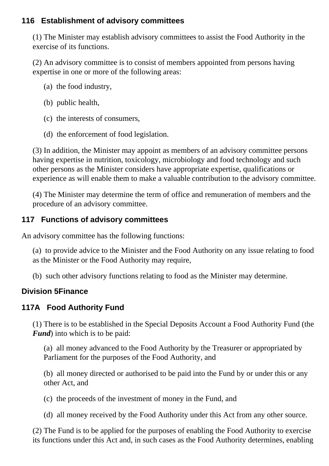### **116 Establishment of advisory committees**

(1) The Minister may establish advisory committees to assist the Food Authority in the exercise of its functions.

(2) An advisory committee is to consist of members appointed from persons having expertise in one or more of the following areas:

- (a) the food industry,
- (b) public health,
- (c) the interests of consumers,
- (d) the enforcement of food legislation.

(3) In addition, the Minister may appoint as members of an advisory committee persons having expertise in nutrition, toxicology, microbiology and food technology and such other persons as the Minister considers have appropriate expertise, qualifications or experience as will enable them to make a valuable contribution to the advisory committee.

(4) The Minister may determine the term of office and remuneration of members and the procedure of an advisory committee.

### **117 Functions of advisory committees**

An advisory committee has the following functions:

(a) to provide advice to the Minister and the Food Authority on any issue relating to food as the Minister or the Food Authority may require,

(b) such other advisory functions relating to food as the Minister may determine.

### **Division 5Finance**

### **117A Food Authority Fund**

(1) There is to be established in the Special Deposits Account a Food Authority Fund (the *Fund*) into which is to be paid:

(a) all money advanced to the Food Authority by the Treasurer or appropriated by Parliament for the purposes of the Food Authority, and

(b) all money directed or authorised to be paid into the Fund by or under this or any other Act, and

(c) the proceeds of the investment of money in the Fund, and

(d) all money received by the Food Authority under this Act from any other source.

(2) The Fund is to be applied for the purposes of enabling the Food Authority to exercise its functions under this Act and, in such cases as the Food Authority determines, enabling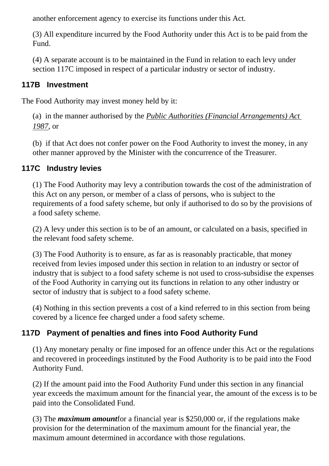another enforcement agency to exercise its functions under this Act.

(3) All expenditure incurred by the Food Authority under this Act is to be paid from the Fund.

(4) A separate account is to be maintained in the Fund in relation to each levy under section 117C imposed in respect of a particular industry or sector of industry.

### **117B Investment**

The Food Authority may invest money held by it:

(a) in the manner authorised by the *[Public Authorities \(Financial Arrangements\) Act](http://www.legislation.nsw.gov.au/xref/inforce/?xref=Type%3Dact%20AND%20Year%3D1987%20AND%20no%3D33&nohits=y) [1987](http://www.legislation.nsw.gov.au/xref/inforce/?xref=Type%3Dact%20AND%20Year%3D1987%20AND%20no%3D33&nohits=y)*, or

(b) if that Act does not confer power on the Food Authority to invest the money, in any other manner approved by the Minister with the concurrence of the Treasurer.

### **117C Industry levies**

(1) The Food Authority may levy a contribution towards the cost of the administration of this Act on any person, or member of a class of persons, who is subject to the requirements of a food safety scheme, but only if authorised to do so by the provisions of a food safety scheme.

(2) A levy under this section is to be of an amount, or calculated on a basis, specified in the relevant food safety scheme.

(3) The Food Authority is to ensure, as far as is reasonably practicable, that money received from levies imposed under this section in relation to an industry or sector of industry that is subject to a food safety scheme is not used to cross-subsidise the expenses of the Food Authority in carrying out its functions in relation to any other industry or sector of industry that is subject to a food safety scheme.

(4) Nothing in this section prevents a cost of a kind referred to in this section from being covered by a licence fee charged under a food safety scheme.

# **117D Payment of penalties and fines into Food Authority Fund**

(1) Any monetary penalty or fine imposed for an offence under this Act or the regulations and recovered in proceedings instituted by the Food Authority is to be paid into the Food Authority Fund.

(2) If the amount paid into the Food Authority Fund under this section in any financial year exceeds the maximum amount for the financial year, the amount of the excess is to be paid into the Consolidated Fund.

(3) The *maximum amount*for a financial year is \$250,000 or, if the regulations make provision for the determination of the maximum amount for the financial year, the maximum amount determined in accordance with those regulations.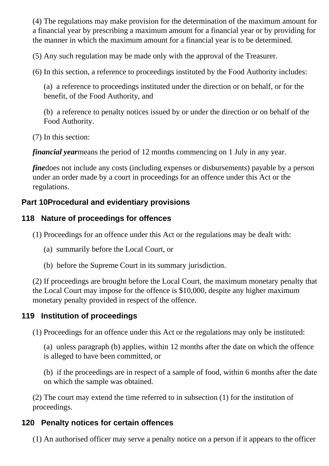(4) The regulations may make provision for the determination of the maximum amount for a financial year by prescribing a maximum amount for a financial year or by providing for the manner in which the maximum amount for a financial year is to be determined.

(5) Any such regulation may be made only with the approval of the Treasurer.

(6) In this section, a reference to proceedings instituted by the Food Authority includes:

(a) a reference to proceedings instituted under the direction or on behalf, or for the benefit, of the Food Authority, and

(b) a reference to penalty notices issued by or under the direction or on behalf of the Food Authority.

(7) In this section:

*financial year*means the period of 12 months commencing on 1 July in any year.

*fine*does not include any costs (including expenses or disbursements) payable by a person under an order made by a court in proceedings for an offence under this Act or the regulations.

# **Part 10Procedural and evidentiary provisions**

# **118 Nature of proceedings for offences**

(1) Proceedings for an offence under this Act or the regulations may be dealt with:

- (a) summarily before the Local Court, or
- (b) before the Supreme Court in its summary jurisdiction.

(2) If proceedings are brought before the Local Court, the maximum monetary penalty that the Local Court may impose for the offence is \$10,000, despite any higher maximum monetary penalty provided in respect of the offence.

# **119 Institution of proceedings**

(1) Proceedings for an offence under this Act or the regulations may only be instituted:

(a) unless paragraph (b) applies, within 12 months after the date on which the offence is alleged to have been committed, or

(b) if the proceedings are in respect of a sample of food, within 6 months after the date on which the sample was obtained.

(2) The court may extend the time referred to in subsection (1) for the institution of proceedings.

# **120 Penalty notices for certain offences**

(1) An authorised officer may serve a penalty notice on a person if it appears to the officer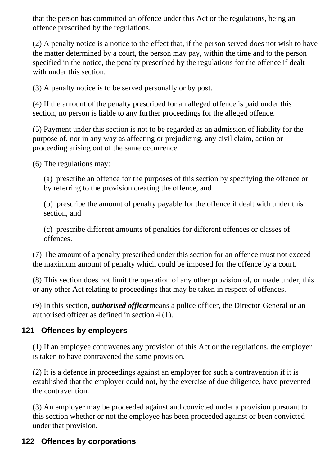that the person has committed an offence under this Act or the regulations, being an offence prescribed by the regulations.

(2) A penalty notice is a notice to the effect that, if the person served does not wish to have the matter determined by a court, the person may pay, within the time and to the person specified in the notice, the penalty prescribed by the regulations for the offence if dealt with under this section.

(3) A penalty notice is to be served personally or by post.

(4) If the amount of the penalty prescribed for an alleged offence is paid under this section, no person is liable to any further proceedings for the alleged offence.

(5) Payment under this section is not to be regarded as an admission of liability for the purpose of, nor in any way as affecting or prejudicing, any civil claim, action or proceeding arising out of the same occurrence.

(6) The regulations may:

(a) prescribe an offence for the purposes of this section by specifying the offence or by referring to the provision creating the offence, and

(b) prescribe the amount of penalty payable for the offence if dealt with under this section, and

(c) prescribe different amounts of penalties for different offences or classes of offences.

(7) The amount of a penalty prescribed under this section for an offence must not exceed the maximum amount of penalty which could be imposed for the offence by a court.

(8) This section does not limit the operation of any other provision of, or made under, this or any other Act relating to proceedings that may be taken in respect of offences.

(9) In this section, *authorised officer*means a police officer, the Director-General or an authorised officer as defined in section 4 (1).

### **121 Offences by employers**

(1) If an employee contravenes any provision of this Act or the regulations, the employer is taken to have contravened the same provision.

(2) It is a defence in proceedings against an employer for such a contravention if it is established that the employer could not, by the exercise of due diligence, have prevented the contravention.

(3) An employer may be proceeded against and convicted under a provision pursuant to this section whether or not the employee has been proceeded against or been convicted under that provision.

### **122 Offences by corporations**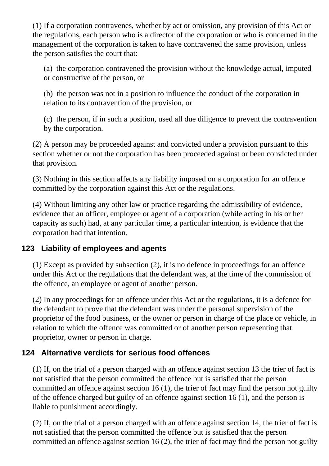(1) If a corporation contravenes, whether by act or omission, any provision of this Act or the regulations, each person who is a director of the corporation or who is concerned in the management of the corporation is taken to have contravened the same provision, unless the person satisfies the court that:

(a) the corporation contravened the provision without the knowledge actual, imputed or constructive of the person, or

(b) the person was not in a position to influence the conduct of the corporation in relation to its contravention of the provision, or

(c) the person, if in such a position, used all due diligence to prevent the contravention by the corporation.

(2) A person may be proceeded against and convicted under a provision pursuant to this section whether or not the corporation has been proceeded against or been convicted under that provision.

(3) Nothing in this section affects any liability imposed on a corporation for an offence committed by the corporation against this Act or the regulations.

(4) Without limiting any other law or practice regarding the admissibility of evidence, evidence that an officer, employee or agent of a corporation (while acting in his or her capacity as such) had, at any particular time, a particular intention, is evidence that the corporation had that intention.

### **123 Liability of employees and agents**

(1) Except as provided by subsection (2), it is no defence in proceedings for an offence under this Act or the regulations that the defendant was, at the time of the commission of the offence, an employee or agent of another person.

(2) In any proceedings for an offence under this Act or the regulations, it is a defence for the defendant to prove that the defendant was under the personal supervision of the proprietor of the food business, or the owner or person in charge of the place or vehicle, in relation to which the offence was committed or of another person representing that proprietor, owner or person in charge.

### **124 Alternative verdicts for serious food offences**

(1) If, on the trial of a person charged with an offence against section 13 the trier of fact is not satisfied that the person committed the offence but is satisfied that the person committed an offence against section 16 (1), the trier of fact may find the person not guilty of the offence charged but guilty of an offence against section 16 (1), and the person is liable to punishment accordingly.

(2) If, on the trial of a person charged with an offence against section 14, the trier of fact is not satisfied that the person committed the offence but is satisfied that the person committed an offence against section 16 (2), the trier of fact may find the person not guilty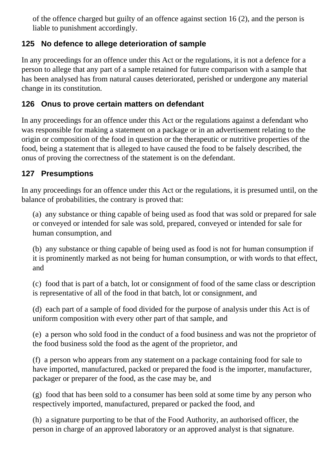of the offence charged but guilty of an offence against section 16 (2), and the person is liable to punishment accordingly.

## **125 No defence to allege deterioration of sample**

In any proceedings for an offence under this Act or the regulations, it is not a defence for a person to allege that any part of a sample retained for future comparison with a sample that has been analysed has from natural causes deteriorated, perished or undergone any material change in its constitution.

# **126 Onus to prove certain matters on defendant**

In any proceedings for an offence under this Act or the regulations against a defendant who was responsible for making a statement on a package or in an advertisement relating to the origin or composition of the food in question or the therapeutic or nutritive properties of the food, being a statement that is alleged to have caused the food to be falsely described, the onus of proving the correctness of the statement is on the defendant.

# **127 Presumptions**

In any proceedings for an offence under this Act or the regulations, it is presumed until, on the balance of probabilities, the contrary is proved that:

(a) any substance or thing capable of being used as food that was sold or prepared for sale or conveyed or intended for sale was sold, prepared, conveyed or intended for sale for human consumption, and

(b) any substance or thing capable of being used as food is not for human consumption if it is prominently marked as not being for human consumption, or with words to that effect, and

(c) food that is part of a batch, lot or consignment of food of the same class or description is representative of all of the food in that batch, lot or consignment, and

(d) each part of a sample of food divided for the purpose of analysis under this Act is of uniform composition with every other part of that sample, and

(e) a person who sold food in the conduct of a food business and was not the proprietor of the food business sold the food as the agent of the proprietor, and

(f) a person who appears from any statement on a package containing food for sale to have imported, manufactured, packed or prepared the food is the importer, manufacturer, packager or preparer of the food, as the case may be, and

(g) food that has been sold to a consumer has been sold at some time by any person who respectively imported, manufactured, prepared or packed the food, and

(h) a signature purporting to be that of the Food Authority, an authorised officer, the person in charge of an approved laboratory or an approved analyst is that signature.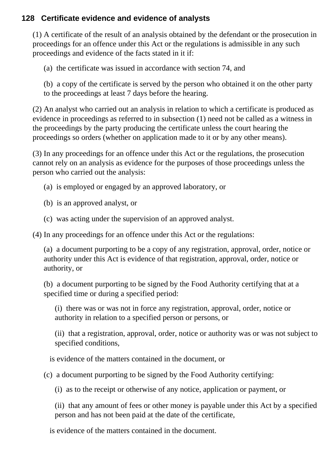### **128 Certificate evidence and evidence of analysts**

(1) A certificate of the result of an analysis obtained by the defendant or the prosecution in proceedings for an offence under this Act or the regulations is admissible in any such proceedings and evidence of the facts stated in it if:

(a) the certificate was issued in accordance with section 74, and

(b) a copy of the certificate is served by the person who obtained it on the other party to the proceedings at least 7 days before the hearing.

(2) An analyst who carried out an analysis in relation to which a certificate is produced as evidence in proceedings as referred to in subsection (1) need not be called as a witness in the proceedings by the party producing the certificate unless the court hearing the proceedings so orders (whether on application made to it or by any other means).

(3) In any proceedings for an offence under this Act or the regulations, the prosecution cannot rely on an analysis as evidence for the purposes of those proceedings unless the person who carried out the analysis:

- (a) is employed or engaged by an approved laboratory, or
- (b) is an approved analyst, or
- (c) was acting under the supervision of an approved analyst.

(4) In any proceedings for an offence under this Act or the regulations:

(a) a document purporting to be a copy of any registration, approval, order, notice or authority under this Act is evidence of that registration, approval, order, notice or authority, or

(b) a document purporting to be signed by the Food Authority certifying that at a specified time or during a specified period:

(i) there was or was not in force any registration, approval, order, notice or authority in relation to a specified person or persons, or

(ii) that a registration, approval, order, notice or authority was or was not subject to specified conditions,

is evidence of the matters contained in the document, or

(c) a document purporting to be signed by the Food Authority certifying:

(i) as to the receipt or otherwise of any notice, application or payment, or

(ii) that any amount of fees or other money is payable under this Act by a specified person and has not been paid at the date of the certificate,

is evidence of the matters contained in the document.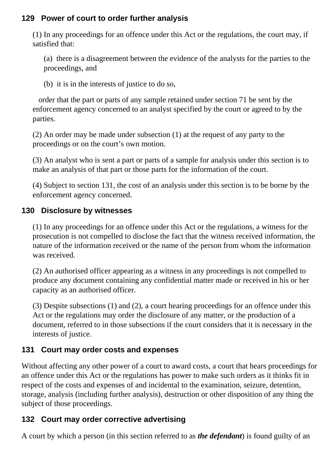### **129 Power of court to order further analysis**

(1) In any proceedings for an offence under this Act or the regulations, the court may, if satisfied that:

(a) there is a disagreement between the evidence of the analysts for the parties to the proceedings, and

(b) it is in the interests of justice to do so,

 order that the part or parts of any sample retained under section 71 be sent by the enforcement agency concerned to an analyst specified by the court or agreed to by the parties.

(2) An order may be made under subsection (1) at the request of any party to the proceedings or on the court's own motion.

(3) An analyst who is sent a part or parts of a sample for analysis under this section is to make an analysis of that part or those parts for the information of the court.

(4) Subject to section 131, the cost of an analysis under this section is to be borne by the enforcement agency concerned.

### **130 Disclosure by witnesses**

(1) In any proceedings for an offence under this Act or the regulations, a witness for the prosecution is not compelled to disclose the fact that the witness received information, the nature of the information received or the name of the person from whom the information was received.

(2) An authorised officer appearing as a witness in any proceedings is not compelled to produce any document containing any confidential matter made or received in his or her capacity as an authorised officer.

(3) Despite subsections (1) and (2), a court hearing proceedings for an offence under this Act or the regulations may order the disclosure of any matter, or the production of a document, referred to in those subsections if the court considers that it is necessary in the interests of justice.

### **131 Court may order costs and expenses**

Without affecting any other power of a court to award costs, a court that hears proceedings for an offence under this Act or the regulations has power to make such orders as it thinks fit in respect of the costs and expenses of and incidental to the examination, seizure, detention, storage, analysis (including further analysis), destruction or other disposition of any thing the subject of those proceedings.

### **132 Court may order corrective advertising**

A court by which a person (in this section referred to as *the defendant*) is found guilty of an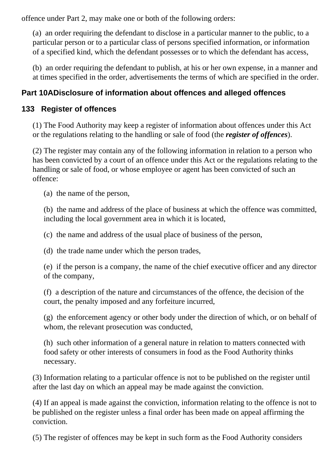offence under Part 2, may make one or both of the following orders:

(a) an order requiring the defendant to disclose in a particular manner to the public, to a particular person or to a particular class of persons specified information, or information of a specified kind, which the defendant possesses or to which the defendant has access,

(b) an order requiring the defendant to publish, at his or her own expense, in a manner and at times specified in the order, advertisements the terms of which are specified in the order.

### **Part 10ADisclosure of information about offences and alleged offences**

### **133 Register of offences**

(1) The Food Authority may keep a register of information about offences under this Act or the regulations relating to the handling or sale of food (the *register of offences*).

(2) The register may contain any of the following information in relation to a person who has been convicted by a court of an offence under this Act or the regulations relating to the handling or sale of food, or whose employee or agent has been convicted of such an offence:

(a) the name of the person,

(b) the name and address of the place of business at which the offence was committed, including the local government area in which it is located,

(c) the name and address of the usual place of business of the person,

(d) the trade name under which the person trades,

(e) if the person is a company, the name of the chief executive officer and any director of the company,

(f) a description of the nature and circumstances of the offence, the decision of the court, the penalty imposed and any forfeiture incurred,

(g) the enforcement agency or other body under the direction of which, or on behalf of whom, the relevant prosecution was conducted,

(h) such other information of a general nature in relation to matters connected with food safety or other interests of consumers in food as the Food Authority thinks necessary.

(3) Information relating to a particular offence is not to be published on the register until after the last day on which an appeal may be made against the conviction.

(4) If an appeal is made against the conviction, information relating to the offence is not to be published on the register unless a final order has been made on appeal affirming the conviction.

(5) The register of offences may be kept in such form as the Food Authority considers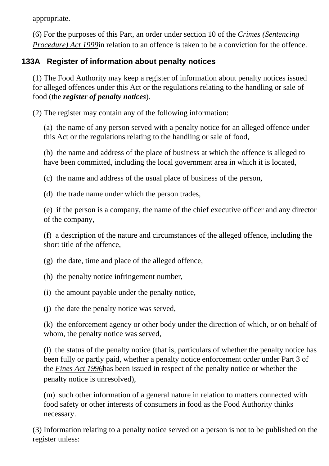appropriate.

(6) For the purposes of this Part, an order under section 10 of the *[Crimes \(Sentencing](http://www.legislation.nsw.gov.au/xref/inforce/?xref=Type%3Dact%20AND%20Year%3D1999%20AND%20no%3D92&nohits=y) [Procedure\) Act 1999](http://www.legislation.nsw.gov.au/xref/inforce/?xref=Type%3Dact%20AND%20Year%3D1999%20AND%20no%3D92&nohits=y)*in relation to an offence is taken to be a conviction for the offence.

## **133A Register of information about penalty notices**

(1) The Food Authority may keep a register of information about penalty notices issued for alleged offences under this Act or the regulations relating to the handling or sale of food (the *register of penalty notices*).

(2) The register may contain any of the following information:

(a) the name of any person served with a penalty notice for an alleged offence under this Act or the regulations relating to the handling or sale of food,

(b) the name and address of the place of business at which the offence is alleged to have been committed, including the local government area in which it is located,

(c) the name and address of the usual place of business of the person,

(d) the trade name under which the person trades,

(e) if the person is a company, the name of the chief executive officer and any director of the company,

(f) a description of the nature and circumstances of the alleged offence, including the short title of the offence,

(g) the date, time and place of the alleged offence,

- (h) the penalty notice infringement number,
- (i) the amount payable under the penalty notice,

(j) the date the penalty notice was served,

(k) the enforcement agency or other body under the direction of which, or on behalf of whom, the penalty notice was served,

(l) the status of the penalty notice (that is, particulars of whether the penalty notice has been fully or partly paid, whether a penalty notice enforcement order under Part 3 of the *[Fines Act 1996](http://www.legislation.nsw.gov.au/xref/inforce/?xref=Type%3Dact%20AND%20Year%3D1996%20AND%20no%3D99&nohits=y)*has been issued in respect of the penalty notice or whether the penalty notice is unresolved),

(m) such other information of a general nature in relation to matters connected with food safety or other interests of consumers in food as the Food Authority thinks necessary.

(3) Information relating to a penalty notice served on a person is not to be published on the register unless: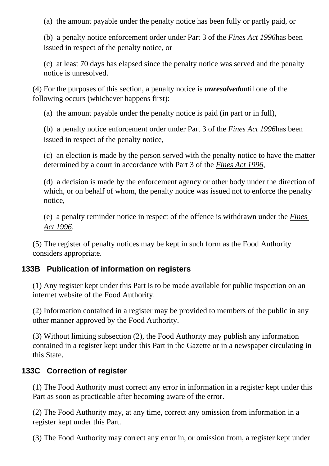(a) the amount payable under the penalty notice has been fully or partly paid, or

(b) a penalty notice enforcement order under Part 3 of the *[Fines Act 1996](http://www.legislation.nsw.gov.au/xref/inforce/?xref=Type%3Dact%20AND%20Year%3D1996%20AND%20no%3D99&nohits=y)*has been issued in respect of the penalty notice, or

(c) at least 70 days has elapsed since the penalty notice was served and the penalty notice is unresolved.

(4) For the purposes of this section, a penalty notice is *unresolved*until one of the following occurs (whichever happens first):

(a) the amount payable under the penalty notice is paid (in part or in full),

(b) a penalty notice enforcement order under Part 3 of the *[Fines Act 1996](http://www.legislation.nsw.gov.au/xref/inforce/?xref=Type%3Dact%20AND%20Year%3D1996%20AND%20no%3D99&nohits=y)*has been issued in respect of the penalty notice,

(c) an election is made by the person served with the penalty notice to have the matter determined by a court in accordance with Part 3 of the *[Fines Act 1996](http://www.legislation.nsw.gov.au/xref/inforce/?xref=Type%3Dact%20AND%20Year%3D1996%20AND%20no%3D99&nohits=y)*,

(d) a decision is made by the enforcement agency or other body under the direction of which, or on behalf of whom, the penalty notice was issued not to enforce the penalty notice,

(e) a penalty reminder notice in respect of the offence is withdrawn under the *[Fines](http://www.legislation.nsw.gov.au/xref/inforce/?xref=Type%3Dact%20AND%20Year%3D1996%20AND%20no%3D99&nohits=y)  [Act 1996](http://www.legislation.nsw.gov.au/xref/inforce/?xref=Type%3Dact%20AND%20Year%3D1996%20AND%20no%3D99&nohits=y)*.

(5) The register of penalty notices may be kept in such form as the Food Authority considers appropriate.

### **133B Publication of information on registers**

(1) Any register kept under this Part is to be made available for public inspection on an internet website of the Food Authority.

(2) Information contained in a register may be provided to members of the public in any other manner approved by the Food Authority.

(3) Without limiting subsection (2), the Food Authority may publish any information contained in a register kept under this Part in the Gazette or in a newspaper circulating in this State.

### **133C Correction of register**

(1) The Food Authority must correct any error in information in a register kept under this Part as soon as practicable after becoming aware of the error.

(2) The Food Authority may, at any time, correct any omission from information in a register kept under this Part.

(3) The Food Authority may correct any error in, or omission from, a register kept under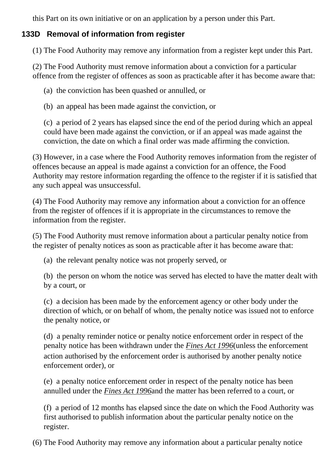this Part on its own initiative or on an application by a person under this Part.

## **133D Removal of information from register**

(1) The Food Authority may remove any information from a register kept under this Part.

(2) The Food Authority must remove information about a conviction for a particular offence from the register of offences as soon as practicable after it has become aware that:

(a) the conviction has been quashed or annulled, or

(b) an appeal has been made against the conviction, or

(c) a period of 2 years has elapsed since the end of the period during which an appeal could have been made against the conviction, or if an appeal was made against the conviction, the date on which a final order was made affirming the conviction.

(3) However, in a case where the Food Authority removes information from the register of offences because an appeal is made against a conviction for an offence, the Food Authority may restore information regarding the offence to the register if it is satisfied that any such appeal was unsuccessful.

(4) The Food Authority may remove any information about a conviction for an offence from the register of offences if it is appropriate in the circumstances to remove the information from the register.

(5) The Food Authority must remove information about a particular penalty notice from the register of penalty notices as soon as practicable after it has become aware that:

(a) the relevant penalty notice was not properly served, or

(b) the person on whom the notice was served has elected to have the matter dealt with by a court, or

(c) a decision has been made by the enforcement agency or other body under the direction of which, or on behalf of whom, the penalty notice was issued not to enforce the penalty notice, or

(d) a penalty reminder notice or penalty notice enforcement order in respect of the penalty notice has been withdrawn under the *[Fines Act 1996](http://www.legislation.nsw.gov.au/xref/inforce/?xref=Type%3Dact%20AND%20Year%3D1996%20AND%20no%3D99&nohits=y)*(unless the enforcement action authorised by the enforcement order is authorised by another penalty notice enforcement order), or

(e) a penalty notice enforcement order in respect of the penalty notice has been annulled under the *[Fines Act 1996](http://www.legislation.nsw.gov.au/xref/inforce/?xref=Type%3Dact%20AND%20Year%3D1996%20AND%20no%3D99&nohits=y)*and the matter has been referred to a court, or

(f) a period of 12 months has elapsed since the date on which the Food Authority was first authorised to publish information about the particular penalty notice on the register.

(6) The Food Authority may remove any information about a particular penalty notice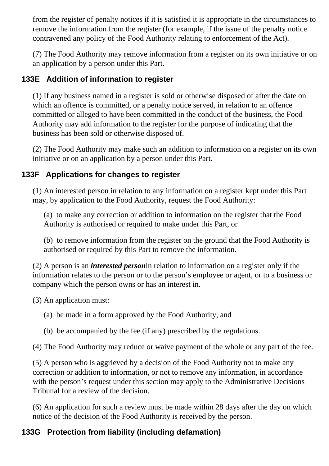from the register of penalty notices if it is satisfied it is appropriate in the circumstances to remove the information from the register (for example, if the issue of the penalty notice contravened any policy of the Food Authority relating to enforcement of the Act).

(7) The Food Authority may remove information from a register on its own initiative or on an application by a person under this Part.

### **133E Addition of information to register**

(1) If any business named in a register is sold or otherwise disposed of after the date on which an offence is committed, or a penalty notice served, in relation to an offence committed or alleged to have been committed in the conduct of the business, the Food Authority may add information to the register for the purpose of indicating that the business has been sold or otherwise disposed of.

(2) The Food Authority may make such an addition to information on a register on its own initiative or on an application by a person under this Part.

# **133F Applications for changes to register**

(1) An interested person in relation to any information on a register kept under this Part may, by application to the Food Authority, request the Food Authority:

(a) to make any correction or addition to information on the register that the Food Authority is authorised or required to make under this Part, or

(b) to remove information from the register on the ground that the Food Authority is authorised or required by this Part to remove the information.

(2) A person is an *interested person*in relation to information on a register only if the information relates to the person or to the person's employee or agent, or to a business or company which the person owns or has an interest in.

(3) An application must:

- (a) be made in a form approved by the Food Authority, and
- (b) be accompanied by the fee (if any) prescribed by the regulations.

(4) The Food Authority may reduce or waive payment of the whole or any part of the fee.

(5) A person who is aggrieved by a decision of the Food Authority not to make any correction or addition to information, or not to remove any information, in accordance with the person's request under this section may apply to the Administrative Decisions Tribunal for a review of the decision.

(6) An application for such a review must be made within 28 days after the day on which notice of the decision of the Food Authority is received by the person.

# **133G Protection from liability (including defamation)**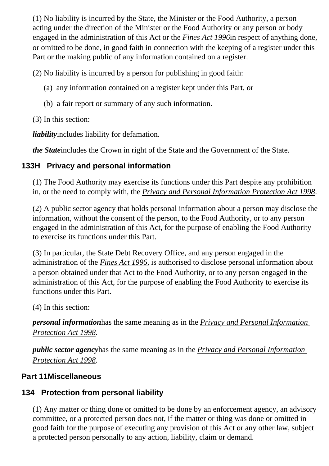(1) No liability is incurred by the State, the Minister or the Food Authority, a person acting under the direction of the Minister or the Food Authority or any person or body engaged in the administration of this Act or the *[Fines Act 1996](http://www.legislation.nsw.gov.au/xref/inforce/?xref=Type%3Dact%20AND%20Year%3D1996%20AND%20no%3D99&nohits=y)*in respect of anything done, or omitted to be done, in good faith in connection with the keeping of a register under this Part or the making public of any information contained on a register.

(2) No liability is incurred by a person for publishing in good faith:

- (a) any information contained on a register kept under this Part, or
- (b) a fair report or summary of any such information.
- (3) In this section:

*liability*includes liability for defamation.

*the State*includes the Crown in right of the State and the Government of the State.

## **133H Privacy and personal information**

(1) The Food Authority may exercise its functions under this Part despite any prohibition in, or the need to comply with, the *[Privacy and Personal Information Protection Act 1998](http://www.legislation.nsw.gov.au/xref/inforce/?xref=Type%3Dact%20AND%20Year%3D1998%20AND%20no%3D133&nohits=y)*.

(2) A public sector agency that holds personal information about a person may disclose the information, without the consent of the person, to the Food Authority, or to any person engaged in the administration of this Act, for the purpose of enabling the Food Authority to exercise its functions under this Part.

(3) In particular, the State Debt Recovery Office, and any person engaged in the administration of the *[Fines Act 1996](http://www.legislation.nsw.gov.au/xref/inforce/?xref=Type%3Dact%20AND%20Year%3D1996%20AND%20no%3D99&nohits=y)*, is authorised to disclose personal information about a person obtained under that Act to the Food Authority, or to any person engaged in the administration of this Act, for the purpose of enabling the Food Authority to exercise its functions under this Part.

(4) In this section:

*personal information*has the same meaning as in the *[Privacy and Personal Information](http://www.legislation.nsw.gov.au/xref/inforce/?xref=Type%3Dact%20AND%20Year%3D1998%20AND%20no%3D133&nohits=y)  [Protection Act 1998](http://www.legislation.nsw.gov.au/xref/inforce/?xref=Type%3Dact%20AND%20Year%3D1998%20AND%20no%3D133&nohits=y)*.

*public sector agency*has the same meaning as in the *[Privacy and Personal Information](http://www.legislation.nsw.gov.au/xref/inforce/?xref=Type%3Dact%20AND%20Year%3D1998%20AND%20no%3D133&nohits=y)  [Protection Act 1998](http://www.legislation.nsw.gov.au/xref/inforce/?xref=Type%3Dact%20AND%20Year%3D1998%20AND%20no%3D133&nohits=y)*.

### **Part 11Miscellaneous**

# **134 Protection from personal liability**

(1) Any matter or thing done or omitted to be done by an enforcement agency, an advisory committee, or a protected person does not, if the matter or thing was done or omitted in good faith for the purpose of executing any provision of this Act or any other law, subject a protected person personally to any action, liability, claim or demand.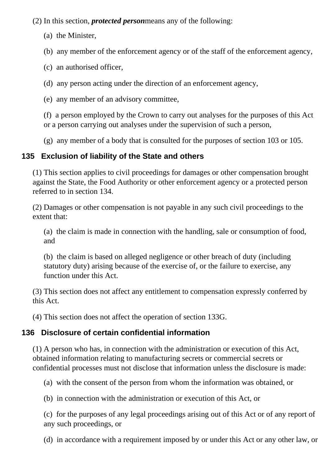(2) In this section, *protected person*means any of the following:

- (a) the Minister,
- (b) any member of the enforcement agency or of the staff of the enforcement agency,
- (c) an authorised officer,
- (d) any person acting under the direction of an enforcement agency,
- (e) any member of an advisory committee,

(f) a person employed by the Crown to carry out analyses for the purposes of this Act or a person carrying out analyses under the supervision of such a person,

(g) any member of a body that is consulted for the purposes of section 103 or 105.

### **135 Exclusion of liability of the State and others**

(1) This section applies to civil proceedings for damages or other compensation brought against the State, the Food Authority or other enforcement agency or a protected person referred to in section 134.

(2) Damages or other compensation is not payable in any such civil proceedings to the extent that:

(a) the claim is made in connection with the handling, sale or consumption of food, and

(b) the claim is based on alleged negligence or other breach of duty (including statutory duty) arising because of the exercise of, or the failure to exercise, any function under this Act.

(3) This section does not affect any entitlement to compensation expressly conferred by this Act.

(4) This section does not affect the operation of section 133G.

### **136 Disclosure of certain confidential information**

(1) A person who has, in connection with the administration or execution of this Act, obtained information relating to manufacturing secrets or commercial secrets or confidential processes must not disclose that information unless the disclosure is made:

(a) with the consent of the person from whom the information was obtained, or

(b) in connection with the administration or execution of this Act, or

(c) for the purposes of any legal proceedings arising out of this Act or of any report of any such proceedings, or

(d) in accordance with a requirement imposed by or under this Act or any other law, or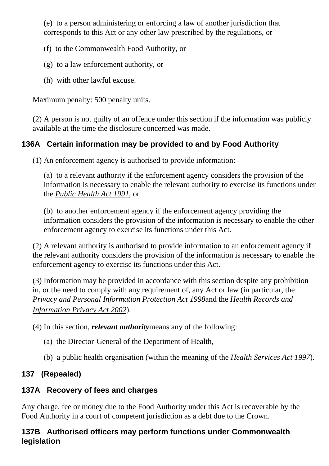(e) to a person administering or enforcing a law of another jurisdiction that corresponds to this Act or any other law prescribed by the regulations, or

- (f) to the Commonwealth Food Authority, or
- (g) to a law enforcement authority, or
- (h) with other lawful excuse.

Maximum penalty: 500 penalty units.

(2) A person is not guilty of an offence under this section if the information was publicly available at the time the disclosure concerned was made.

### **136A Certain information may be provided to and by Food Authority**

(1) An enforcement agency is authorised to provide information:

(a) to a relevant authority if the enforcement agency considers the provision of the information is necessary to enable the relevant authority to exercise its functions under the *[Public Health Act 1991](http://www.legislation.nsw.gov.au/xref/inforce/?xref=Type%3Dact%20AND%20Year%3D1991%20AND%20no%3D10&nohits=y)*, or

(b) to another enforcement agency if the enforcement agency providing the information considers the provision of the information is necessary to enable the other enforcement agency to exercise its functions under this Act.

(2) A relevant authority is authorised to provide information to an enforcement agency if the relevant authority considers the provision of the information is necessary to enable the enforcement agency to exercise its functions under this Act.

(3) Information may be provided in accordance with this section despite any prohibition in, or the need to comply with any requirement of, any Act or law (in particular, the *[Privacy and Personal Information Protection Act 1998](http://www.legislation.nsw.gov.au/xref/inforce/?xref=Type%3Dact%20AND%20Year%3D1998%20AND%20no%3D133&nohits=y)*and the *[Health Records and](http://www.legislation.nsw.gov.au/xref/inforce/?xref=Type%3Dact%20AND%20Year%3D2002%20AND%20no%3D71&nohits=y)  [Information Privacy Act 2002](http://www.legislation.nsw.gov.au/xref/inforce/?xref=Type%3Dact%20AND%20Year%3D2002%20AND%20no%3D71&nohits=y)*).

(4) In this section, *relevant authority*means any of the following:

- (a) the Director-General of the Department of Health,
- (b) a public health organisation (within the meaning of the *[Health Services Act 1997](http://www.legislation.nsw.gov.au/xref/inforce/?xref=Type%3Dact%20AND%20Year%3D1997%20AND%20no%3D154&nohits=y)*).

### **137 (Repealed)**

### **137A Recovery of fees and charges**

Any charge, fee or money due to the Food Authority under this Act is recoverable by the Food Authority in a court of competent jurisdiction as a debt due to the Crown.

#### **137B Authorised officers may perform functions under Commonwealth legislation**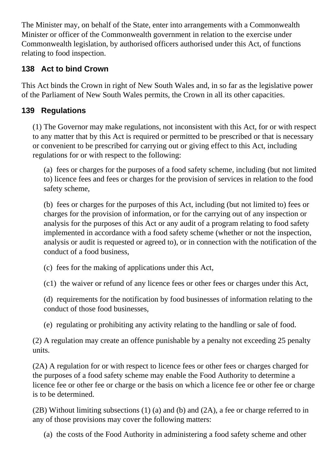The Minister may, on behalf of the State, enter into arrangements with a Commonwealth Minister or officer of the Commonwealth government in relation to the exercise under Commonwealth legislation, by authorised officers authorised under this Act, of functions relating to food inspection.

# **138 Act to bind Crown**

This Act binds the Crown in right of New South Wales and, in so far as the legislative power of the Parliament of New South Wales permits, the Crown in all its other capacities.

# **139 Regulations**

(1) The Governor may make regulations, not inconsistent with this Act, for or with respect to any matter that by this Act is required or permitted to be prescribed or that is necessary or convenient to be prescribed for carrying out or giving effect to this Act, including regulations for or with respect to the following:

(a) fees or charges for the purposes of a food safety scheme, including (but not limited to) licence fees and fees or charges for the provision of services in relation to the food safety scheme,

(b) fees or charges for the purposes of this Act, including (but not limited to) fees or charges for the provision of information, or for the carrying out of any inspection or analysis for the purposes of this Act or any audit of a program relating to food safety implemented in accordance with a food safety scheme (whether or not the inspection, analysis or audit is requested or agreed to), or in connection with the notification of the conduct of a food business,

(c) fees for the making of applications under this Act,

(c1) the waiver or refund of any licence fees or other fees or charges under this Act,

(d) requirements for the notification by food businesses of information relating to the conduct of those food businesses,

(e) regulating or prohibiting any activity relating to the handling or sale of food.

(2) A regulation may create an offence punishable by a penalty not exceeding 25 penalty units.

(2A) A regulation for or with respect to licence fees or other fees or charges charged for the purposes of a food safety scheme may enable the Food Authority to determine a licence fee or other fee or charge or the basis on which a licence fee or other fee or charge is to be determined.

(2B) Without limiting subsections (1) (a) and (b) and (2A), a fee or charge referred to in any of those provisions may cover the following matters:

(a) the costs of the Food Authority in administering a food safety scheme and other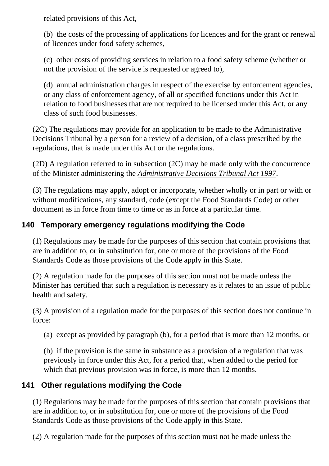related provisions of this Act,

(b) the costs of the processing of applications for licences and for the grant or renewal of licences under food safety schemes,

(c) other costs of providing services in relation to a food safety scheme (whether or not the provision of the service is requested or agreed to),

(d) annual administration charges in respect of the exercise by enforcement agencies, or any class of enforcement agency, of all or specified functions under this Act in relation to food businesses that are not required to be licensed under this Act, or any class of such food businesses.

(2C) The regulations may provide for an application to be made to the Administrative Decisions Tribunal by a person for a review of a decision, of a class prescribed by the regulations, that is made under this Act or the regulations.

(2D) A regulation referred to in subsection (2C) may be made only with the concurrence of the Minister administering the *[Administrative Decisions Tribunal Act 1997](http://www.legislation.nsw.gov.au/xref/inforce/?xref=Type%3Dact%20AND%20Year%3D1997%20AND%20no%3D76&nohits=y)*.

(3) The regulations may apply, adopt or incorporate, whether wholly or in part or with or without modifications, any standard, code (except the Food Standards Code) or other document as in force from time to time or as in force at a particular time.

#### **140 Temporary emergency regulations modifying the Code**

(1) Regulations may be made for the purposes of this section that contain provisions that are in addition to, or in substitution for, one or more of the provisions of the Food Standards Code as those provisions of the Code apply in this State.

(2) A regulation made for the purposes of this section must not be made unless the Minister has certified that such a regulation is necessary as it relates to an issue of public health and safety.

(3) A provision of a regulation made for the purposes of this section does not continue in force:

(a) except as provided by paragraph (b), for a period that is more than 12 months, or

(b) if the provision is the same in substance as a provision of a regulation that was previously in force under this Act, for a period that, when added to the period for which that previous provision was in force, is more than 12 months.

#### **141 Other regulations modifying the Code**

(1) Regulations may be made for the purposes of this section that contain provisions that are in addition to, or in substitution for, one or more of the provisions of the Food Standards Code as those provisions of the Code apply in this State.

(2) A regulation made for the purposes of this section must not be made unless the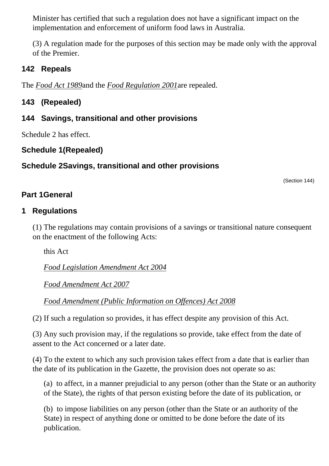Minister has certified that such a regulation does not have a significant impact on the implementation and enforcement of uniform food laws in Australia.

(3) A regulation made for the purposes of this section may be made only with the approval of the Premier.

#### **142 Repeals**

The *[Food Act 1989](http://www.legislation.nsw.gov.au/xref/inforce/?xref=Type%3Dact%20AND%20Year%3D1989%20AND%20no%3D231&nohits=y)*and the *[Food Regulation 2001](http://www.legislation.nsw.gov.au/xref/inforce/?xref=Type%3Dsubordleg%20AND%20Year%3D2001%20AND%20No%3D311&nohits=y)*are repealed.

#### **143 (Repealed)**

#### **144 Savings, transitional and other provisions**

Schedule 2 has effect.

#### **Schedule 1(Repealed)**

#### **Schedule 2Savings, transitional and other provisions**

(Section 144)

#### **Part 1General**

#### **1 Regulations**

(1) The regulations may contain provisions of a savings or transitional nature consequent on the enactment of the following Acts:

this Act

*[Food Legislation Amendment Act 2004](http://www.legislation.nsw.gov.au/xref/inforce/?xref=Type%3Dact%20AND%20Year%3D2004%20AND%20no%3D16&nohits=y)*

*[Food Amendment Act 2007](http://www.legislation.nsw.gov.au/xref/inforce/?xref=Type%3Dact%20AND%20Year%3D2007%20AND%20no%3D47&nohits=y)*

*[Food Amendment \(Public Information on Offences\) Act 2008](http://www.legislation.nsw.gov.au/xref/inforce/?xref=Type%3Dact%20AND%20Year%3D2008%20AND%20no%3D5&nohits=y)*

(2) If such a regulation so provides, it has effect despite any provision of this Act.

(3) Any such provision may, if the regulations so provide, take effect from the date of assent to the Act concerned or a later date.

(4) To the extent to which any such provision takes effect from a date that is earlier than the date of its publication in the Gazette, the provision does not operate so as:

(a) to affect, in a manner prejudicial to any person (other than the State or an authority of the State), the rights of that person existing before the date of its publication, or

(b) to impose liabilities on any person (other than the State or an authority of the State) in respect of anything done or omitted to be done before the date of its publication.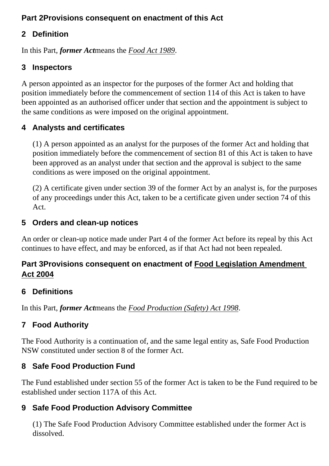#### **Part 2Provisions consequent on enactment of this Act**

# **2 Definition**

In this Part, *former Act*means the *[Food Act 1989](http://www.legislation.nsw.gov.au/xref/inforce/?xref=Type%3Dact%20AND%20Year%3D1989%20AND%20no%3D231&nohits=y)*.

# **3 Inspectors**

A person appointed as an inspector for the purposes of the former Act and holding that position immediately before the commencement of section 114 of this Act is taken to have been appointed as an authorised officer under that section and the appointment is subject to the same conditions as were imposed on the original appointment.

### **4 Analysts and certificates**

(1) A person appointed as an analyst for the purposes of the former Act and holding that position immediately before the commencement of section 81 of this Act is taken to have been approved as an analyst under that section and the approval is subject to the same conditions as were imposed on the original appointment.

(2) A certificate given under section 39 of the former Act by an analyst is, for the purposes of any proceedings under this Act, taken to be a certificate given under section 74 of this Act.

### **5 Orders and clean-up notices**

An order or clean-up notice made under Part 4 of the former Act before its repeal by this Act continues to have effect, and may be enforced, as if that Act had not been repealed.

#### **Part 3Provisions consequent on enactment of [Food Legislation Amendment](http://www.legislation.nsw.gov.au/xref/inforce/?xref=Type%3Dact%20AND%20Year%3D2004%20AND%20no%3D16&nohits=y)  [Act 2004](http://www.legislation.nsw.gov.au/xref/inforce/?xref=Type%3Dact%20AND%20Year%3D2004%20AND%20no%3D16&nohits=y)**

### **6 Definitions**

In this Part, *former Act*means the *[Food Production \(Safety\) Act 1998](http://www.legislation.nsw.gov.au/xref/inforce/?xref=Type%3Dact%20AND%20Year%3D1998%20AND%20no%3D128&nohits=y)*.

# **7 Food Authority**

The Food Authority is a continuation of, and the same legal entity as, Safe Food Production NSW constituted under section 8 of the former Act.

### **8 Safe Food Production Fund**

The Fund established under section 55 of the former Act is taken to be the Fund required to be established under section 117A of this Act.

### **9 Safe Food Production Advisory Committee**

(1) The Safe Food Production Advisory Committee established under the former Act is dissolved.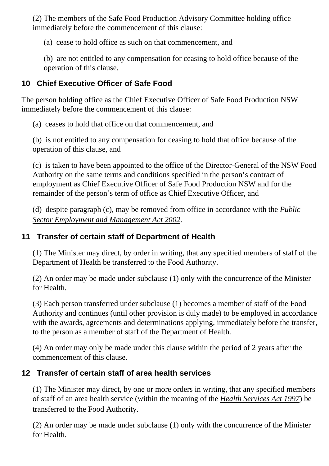(2) The members of the Safe Food Production Advisory Committee holding office immediately before the commencement of this clause:

(a) cease to hold office as such on that commencement, and

(b) are not entitled to any compensation for ceasing to hold office because of the operation of this clause.

### **10 Chief Executive Officer of Safe Food**

The person holding office as the Chief Executive Officer of Safe Food Production NSW immediately before the commencement of this clause:

(a) ceases to hold that office on that commencement, and

(b) is not entitled to any compensation for ceasing to hold that office because of the operation of this clause, and

(c) is taken to have been appointed to the office of the Director-General of the NSW Food Authority on the same terms and conditions specified in the person's contract of employment as Chief Executive Officer of Safe Food Production NSW and for the remainder of the person's term of office as Chief Executive Officer, and

(d) despite paragraph (c), may be removed from office in accordance with the *[Public](http://www.legislation.nsw.gov.au/xref/inforce/?xref=Type%3Dact%20AND%20Year%3D2002%20AND%20no%3D43&nohits=y) [Sector Employment and Management Act 2002](http://www.legislation.nsw.gov.au/xref/inforce/?xref=Type%3Dact%20AND%20Year%3D2002%20AND%20no%3D43&nohits=y)*.

### **11 Transfer of certain staff of Department of Health**

(1) The Minister may direct, by order in writing, that any specified members of staff of the Department of Health be transferred to the Food Authority.

(2) An order may be made under subclause (1) only with the concurrence of the Minister for Health.

(3) Each person transferred under subclause (1) becomes a member of staff of the Food Authority and continues (until other provision is duly made) to be employed in accordance with the awards, agreements and determinations applying, immediately before the transfer, to the person as a member of staff of the Department of Health.

(4) An order may only be made under this clause within the period of 2 years after the commencement of this clause.

### **12 Transfer of certain staff of area health services**

(1) The Minister may direct, by one or more orders in writing, that any specified members of staff of an area health service (within the meaning of the *[Health Services Act 1997](http://www.legislation.nsw.gov.au/xref/inforce/?xref=Type%3Dact%20AND%20Year%3D1997%20AND%20no%3D154&nohits=y)*) be transferred to the Food Authority.

(2) An order may be made under subclause (1) only with the concurrence of the Minister for Health.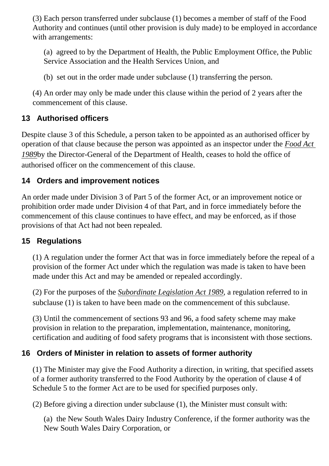(3) Each person transferred under subclause (1) becomes a member of staff of the Food Authority and continues (until other provision is duly made) to be employed in accordance with arrangements:

(a) agreed to by the Department of Health, the Public Employment Office, the Public Service Association and the Health Services Union, and

(b) set out in the order made under subclause (1) transferring the person.

(4) An order may only be made under this clause within the period of 2 years after the commencement of this clause.

#### **13 Authorised officers**

Despite clause 3 of this Schedule, a person taken to be appointed as an authorised officer by operation of that clause because the person was appointed as an inspector under the *[Food Act](http://www.legislation.nsw.gov.au/xref/inforce/?xref=Type%3Dact%20AND%20Year%3D1989%20AND%20no%3D231&nohits=y) [1989](http://www.legislation.nsw.gov.au/xref/inforce/?xref=Type%3Dact%20AND%20Year%3D1989%20AND%20no%3D231&nohits=y)*by the Director-General of the Department of Health, ceases to hold the office of authorised officer on the commencement of this clause.

#### **14 Orders and improvement notices**

An order made under Division 3 of Part 5 of the former Act, or an improvement notice or prohibition order made under Division 4 of that Part, and in force immediately before the commencement of this clause continues to have effect, and may be enforced, as if those provisions of that Act had not been repealed.

#### **15 Regulations**

(1) A regulation under the former Act that was in force immediately before the repeal of a provision of the former Act under which the regulation was made is taken to have been made under this Act and may be amended or repealed accordingly.

(2) For the purposes of the *[Subordinate Legislation Act 1989](http://www.legislation.nsw.gov.au/xref/inforce/?xref=Type%3Dact%20AND%20Year%3D1989%20AND%20no%3D146&nohits=y)*, a regulation referred to in subclause (1) is taken to have been made on the commencement of this subclause.

(3) Until the commencement of sections 93 and 96, a food safety scheme may make provision in relation to the preparation, implementation, maintenance, monitoring, certification and auditing of food safety programs that is inconsistent with those sections.

#### **16 Orders of Minister in relation to assets of former authority**

(1) The Minister may give the Food Authority a direction, in writing, that specified assets of a former authority transferred to the Food Authority by the operation of clause 4 of Schedule 5 to the former Act are to be used for specified purposes only.

(2) Before giving a direction under subclause (1), the Minister must consult with:

(a) the New South Wales Dairy Industry Conference, if the former authority was the New South Wales Dairy Corporation, or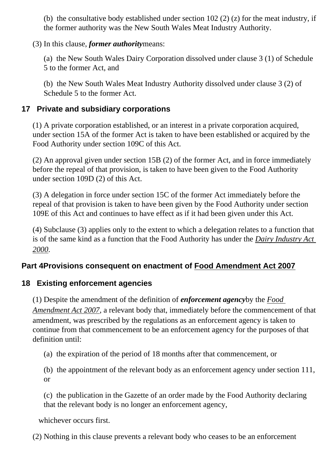(b) the consultative body established under section 102 (2) (z) for the meat industry, if the former authority was the New South Wales Meat Industry Authority.

(3) In this clause, *former authority*means:

(a) the New South Wales Dairy Corporation dissolved under clause 3 (1) of Schedule 5 to the former Act, and

(b) the New South Wales Meat Industry Authority dissolved under clause 3 (2) of Schedule 5 to the former Act.

#### **17 Private and subsidiary corporations**

(1) A private corporation established, or an interest in a private corporation acquired, under section 15A of the former Act is taken to have been established or acquired by the Food Authority under section 109C of this Act.

(2) An approval given under section 15B (2) of the former Act, and in force immediately before the repeal of that provision, is taken to have been given to the Food Authority under section 109D (2) of this Act.

(3) A delegation in force under section 15C of the former Act immediately before the repeal of that provision is taken to have been given by the Food Authority under section 109E of this Act and continues to have effect as if it had been given under this Act.

(4) Subclause (3) applies only to the extent to which a delegation relates to a function that is of the same kind as a function that the Food Authority has under the *[Dairy Industry Act](http://www.legislation.nsw.gov.au/xref/inforce/?xref=Type%3Dact%20AND%20Year%3D2000%20AND%20no%3D54&nohits=y)  [2000](http://www.legislation.nsw.gov.au/xref/inforce/?xref=Type%3Dact%20AND%20Year%3D2000%20AND%20no%3D54&nohits=y)*.

#### **Part 4Provisions consequent on enactment of [Food Amendment Act 2007](http://www.legislation.nsw.gov.au/xref/inforce/?xref=Type%3Dact%20AND%20Year%3D2007%20AND%20no%3D47&nohits=y)**

#### **18 Existing enforcement agencies**

(1) Despite the amendment of the definition of *enforcement agency*by the *[Food](http://www.legislation.nsw.gov.au/xref/inforce/?xref=Type%3Dact%20AND%20Year%3D2007%20AND%20no%3D47&nohits=y)  [Amendment Act 2007](http://www.legislation.nsw.gov.au/xref/inforce/?xref=Type%3Dact%20AND%20Year%3D2007%20AND%20no%3D47&nohits=y)*, a relevant body that, immediately before the commencement of that amendment, was prescribed by the regulations as an enforcement agency is taken to continue from that commencement to be an enforcement agency for the purposes of that definition until:

(a) the expiration of the period of 18 months after that commencement, or

(b) the appointment of the relevant body as an enforcement agency under section 111, or

(c) the publication in the Gazette of an order made by the Food Authority declaring that the relevant body is no longer an enforcement agency,

whichever occurs first.

(2) Nothing in this clause prevents a relevant body who ceases to be an enforcement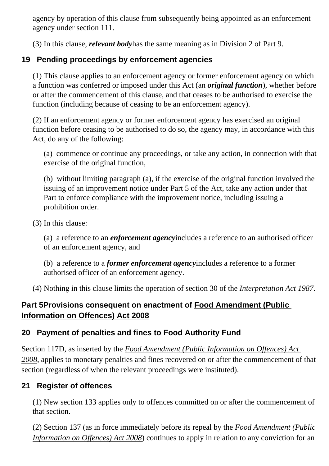agency by operation of this clause from subsequently being appointed as an enforcement agency under section 111.

(3) In this clause, *relevant body*has the same meaning as in Division 2 of Part 9.

# **19 Pending proceedings by enforcement agencies**

(1) This clause applies to an enforcement agency or former enforcement agency on which a function was conferred or imposed under this Act (an *original function*), whether before or after the commencement of this clause, and that ceases to be authorised to exercise the function (including because of ceasing to be an enforcement agency).

(2) If an enforcement agency or former enforcement agency has exercised an original function before ceasing to be authorised to do so, the agency may, in accordance with this Act, do any of the following:

(a) commence or continue any proceedings, or take any action, in connection with that exercise of the original function,

(b) without limiting paragraph (a), if the exercise of the original function involved the issuing of an improvement notice under Part 5 of the Act, take any action under that Part to enforce compliance with the improvement notice, including issuing a prohibition order.

(3) In this clause:

(a) a reference to an *enforcement agency*includes a reference to an authorised officer of an enforcement agency, and

(b) a reference to a *former enforcement agency*includes a reference to a former authorised officer of an enforcement agency.

(4) Nothing in this clause limits the operation of section 30 of the *[Interpretation Act 1987](http://www.legislation.nsw.gov.au/xref/inforce/?xref=Type%3Dact%20AND%20Year%3D1987%20AND%20no%3D15&nohits=y)*.

### **Part 5Provisions consequent on enactment of [Food Amendment \(Public](http://www.legislation.nsw.gov.au/xref/inforce/?xref=Type%3Dact%20AND%20Year%3D2008%20AND%20no%3D5&nohits=y) [Information on Offences\) Act 2008](http://www.legislation.nsw.gov.au/xref/inforce/?xref=Type%3Dact%20AND%20Year%3D2008%20AND%20no%3D5&nohits=y)**

### **20 Payment of penalties and fines to Food Authority Fund**

Section 117D, as inserted by the *[Food Amendment \(Public Information on Offences\) Act](http://www.legislation.nsw.gov.au/xref/inforce/?xref=Type%3Dact%20AND%20Year%3D2008%20AND%20no%3D5&nohits=y)  [2008](http://www.legislation.nsw.gov.au/xref/inforce/?xref=Type%3Dact%20AND%20Year%3D2008%20AND%20no%3D5&nohits=y)*, applies to monetary penalties and fines recovered on or after the commencement of that section (regardless of when the relevant proceedings were instituted).

### **21 Register of offences**

(1) New section 133 applies only to offences committed on or after the commencement of that section.

(2) Section 137 (as in force immediately before its repeal by the *[Food Amendment \(Public](http://www.legislation.nsw.gov.au/xref/inforce/?xref=Type%3Dact%20AND%20Year%3D2008%20AND%20no%3D5&nohits=y)  [Information on Offences\) Act 2008](http://www.legislation.nsw.gov.au/xref/inforce/?xref=Type%3Dact%20AND%20Year%3D2008%20AND%20no%3D5&nohits=y)*) continues to apply in relation to any conviction for an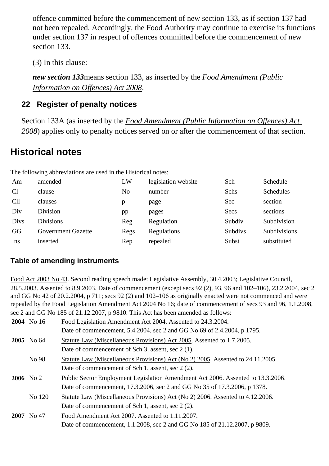offence committed before the commencement of new section 133, as if section 137 had not been repealed. Accordingly, the Food Authority may continue to exercise its functions under section 137 in respect of offences committed before the commencement of new section 133.

(3) In this clause:

*new section 133*means section 133, as inserted by the *[Food Amendment \(Public](http://www.legislation.nsw.gov.au/xref/inforce/?xref=Type%3Dact%20AND%20Year%3D2008%20AND%20no%3D5&nohits=y)  [Information on Offences\) Act 2008](http://www.legislation.nsw.gov.au/xref/inforce/?xref=Type%3Dact%20AND%20Year%3D2008%20AND%20no%3D5&nohits=y)*.

#### **22 Register of penalty notices**

Section 133A (as inserted by the *[Food Amendment \(Public Information on Offences\) Act](http://www.legislation.nsw.gov.au/xref/inforce/?xref=Type%3Dact%20AND%20Year%3D2008%20AND%20no%3D5&nohits=y)  [2008](http://www.legislation.nsw.gov.au/xref/inforce/?xref=Type%3Dact%20AND%20Year%3D2008%20AND%20no%3D5&nohits=y)*) applies only to penalty notices served on or after the commencement of that section.

# **Historical notes**

The following abbreviations are used in the Historical notes:

| Am             | amended                   | LW   | legislation website | Sch        | Schedule            |
|----------------|---------------------------|------|---------------------|------------|---------------------|
| C <sub>1</sub> | clause                    | No   | number              | Schs       | Schedules           |
| <b>Cll</b>     | clauses                   | p    | page                | <b>Sec</b> | section             |
| Div            | Division                  | pp   | pages               | Secs       | sections            |
| <b>Divs</b>    | <b>Divisions</b>          | Reg  | Regulation          | Subdiv     | Subdivision         |
| GG             | <b>Government Gazette</b> | Regs | Regulations         | Subdivs    | <b>Subdivisions</b> |
| Ins            | inserted                  | Rep  | repealed            | Subst      | substituted         |

#### **Table of amending instruments**

[Food Act 2003 No 43.](http://www.legislation.nsw.gov.au/xref/inforce/?xref=Type%3Dact%20AND%20Year%3D2003%20AND%20no%3D43&nohits=y) Second reading speech made: Legislative Assembly, 30.4.2003; Legislative Council, 28.5.2003. Assented to 8.9.2003. Date of commencement (except secs 92 (2), 93, 96 and 102–106), 23.2.2004, sec 2 and GG No 42 of 20.2.2004, p 711; secs 92 (2) and 102–106 as originally enacted were not commenced and were repealed by the [Food Legislation Amendment Act 2004 No 16](http://www.legislation.nsw.gov.au/xref/inforce/?xref=Type%3Dact%20AND%20Year%3D2004%20AND%20no%3D16&nohits=y); date of commencement of secs 93 and 96, 1.1.2008, sec 2 and GG No 185 of 21.12.2007, p 9810. This Act has been amended as follows:

| 2004 No 16    | Food Legislation Amendment Act 2004. Assented to 24.3.2004.                     |
|---------------|---------------------------------------------------------------------------------|
|               | Date of commencement, 5.4.2004, sec 2 and GG No 69 of 2.4.2004, p 1795.         |
| $2005$ No 64  | Statute Law (Miscellaneous Provisions) Act 2005. Assented to 1.7.2005.          |
|               | Date of commencement of Sch 3, assent, sec 2(1).                                |
| No 98         | Statute Law (Miscellaneous Provisions) Act (No 2) 2005. Assented to 24.11.2005. |
|               | Date of commencement of Sch 1, assent, sec 2(2).                                |
| $2006$ No 2   | Public Sector Employment Legislation Amendment Act 2006. Assented to 13.3.2006. |
|               | Date of commencement, 17.3.2006, sec 2 and GG No 35 of 17.3.2006, p 1378.       |
| No 120        | Statute Law (Miscellaneous Provisions) Act (No 2) 2006. Assented to 4.12.2006.  |
|               | Date of commencement of Sch 1, assent, sec 2(2).                                |
| $2007$ No. 47 | Food Amendment Act 2007. Assented to 1.11.2007.                                 |
|               | Date of commencement, 1.1.2008, sec 2 and GG No 185 of 21.12.2007, p 9809.      |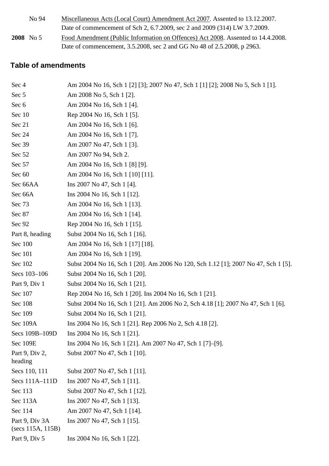| No 94     | Miscellaneous Acts (Local Court) Amendment Act 2007. Assented to 13.12.2007.     |
|-----------|----------------------------------------------------------------------------------|
|           | Date of commencement of Sch 2, 6.7.2009, sec 2 and 2009 (314) LW 3.7.2009.       |
| 2008 No 5 | Food Amendment (Public Information on Offences) Act 2008. Assented to 14.4.2008. |
|           | Date of commencement, 3.5.2008, sec 2 and GG No 48 of 2.5.2008, p 2963.          |

#### **Table of amendments**

| Sec 4                                         | Am 2004 No 16, Sch 1 [2] [3]; 2007 No 47, Sch 1 [1] [2]; 2008 No 5, Sch 1 [1].     |
|-----------------------------------------------|------------------------------------------------------------------------------------|
| Sec 5                                         | Am 2008 No 5, Sch 1 [2].                                                           |
| Sec 6                                         | Am 2004 No 16, Sch 1 [4].                                                          |
| Sec 10                                        | Rep 2004 No 16, Sch 1 [5].                                                         |
| Sec 21                                        | Am 2004 No 16, Sch 1 [6].                                                          |
| Sec 24                                        | Am 2004 No 16, Sch 1 [7].                                                          |
| Sec 39                                        | Am 2007 No 47, Sch 1 [3].                                                          |
| Sec 52                                        | Am 2007 No 94, Sch 2.                                                              |
| Sec 57                                        | Am 2004 No 16, Sch 1 [8] [9].                                                      |
| Sec 60                                        | Am 2004 No 16, Sch 1 [10] [11].                                                    |
| Sec 66AA                                      | Ins 2007 No 47, Sch 1 [4].                                                         |
| Sec 66A                                       | Ins 2004 No 16, Sch 1 [12].                                                        |
| Sec 73                                        | Am 2004 No 16, Sch 1 [13].                                                         |
| Sec 87                                        | Am 2004 No 16, Sch 1 [14].                                                         |
| Sec 92                                        | Rep 2004 No 16, Sch 1 [15].                                                        |
| Part 8, heading                               | Subst 2004 No 16, Sch 1 [16].                                                      |
| Sec 100                                       | Am 2004 No 16, Sch 1 [17] [18].                                                    |
| Sec 101                                       | Am 2004 No 16, Sch 1 [19].                                                         |
| Sec 102                                       | Subst 2004 No 16, Sch 1 [20]. Am 2006 No 120, Sch 1.12 [1]; 2007 No 47, Sch 1 [5]. |
| Secs 103-106                                  | Subst 2004 No 16, Sch 1 [20].                                                      |
| Part 9, Div 1                                 | Subst 2004 No 16, Sch 1 [21].                                                      |
| Sec 107                                       | Rep 2004 No 16, Sch 1 [20]. Ins 2004 No 16, Sch 1 [21].                            |
| Sec 108                                       | Subst 2004 No 16, Sch 1 [21]. Am 2006 No 2, Sch 4.18 [1]; 2007 No 47, Sch 1 [6].   |
| Sec 109                                       | Subst 2004 No 16, Sch 1 [21].                                                      |
| Sec 109A                                      | Ins 2004 No 16, Sch 1 [21]. Rep 2006 No 2, Sch 4.18 [2].                           |
| Secs 109B-109D                                | Ins 2004 No 16, Sch 1 [21].                                                        |
| Sec 109E                                      | Ins 2004 No 16, Sch 1 [21]. Am 2007 No 47, Sch 1 [7]–[9].                          |
| Part 9, Div 2,<br>heading                     | Subst 2007 No 47, Sch 1 [10].                                                      |
| Secs 110, 111                                 | Subst 2007 No 47, Sch 1 [11].                                                      |
| Secs 111A-111D                                | Ins 2007 No 47, Sch 1 [11].                                                        |
| Sec 113                                       | Subst 2007 No 47, Sch 1 [12].                                                      |
| Sec 113A                                      | Ins 2007 No 47, Sch 1 [13].                                                        |
| Sec 114                                       | Am 2007 No 47, Sch 1 [14].                                                         |
| Part 9, Div 3A<br>$(\text{secs } 115A, 115B)$ | Ins 2007 No 47, Sch 1 [15].                                                        |
| Part 9, Div 5                                 | Ins 2004 No 16, Sch 1 [22].                                                        |